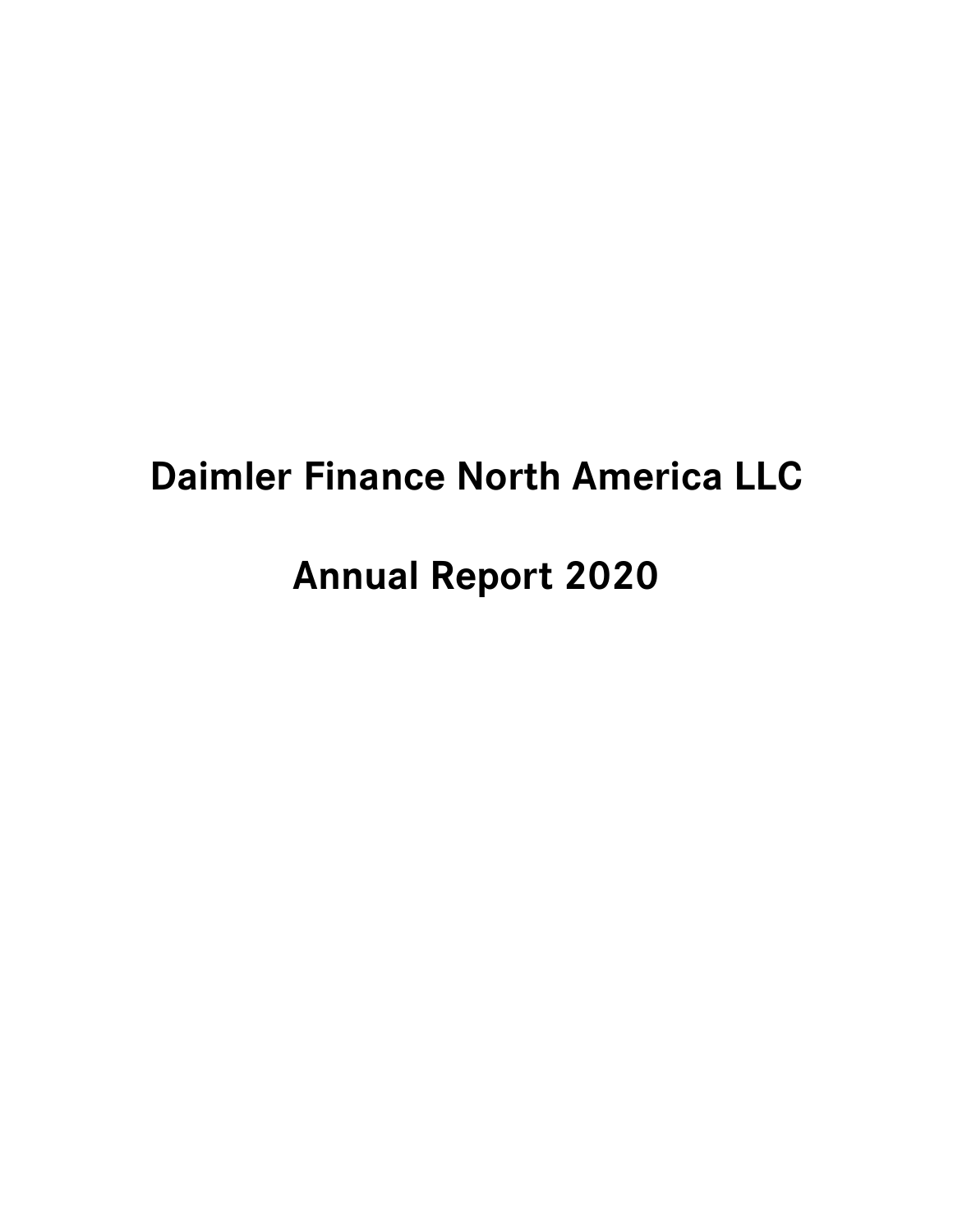# **Daimler Finance North America LLC**

# **Annual Report 2020**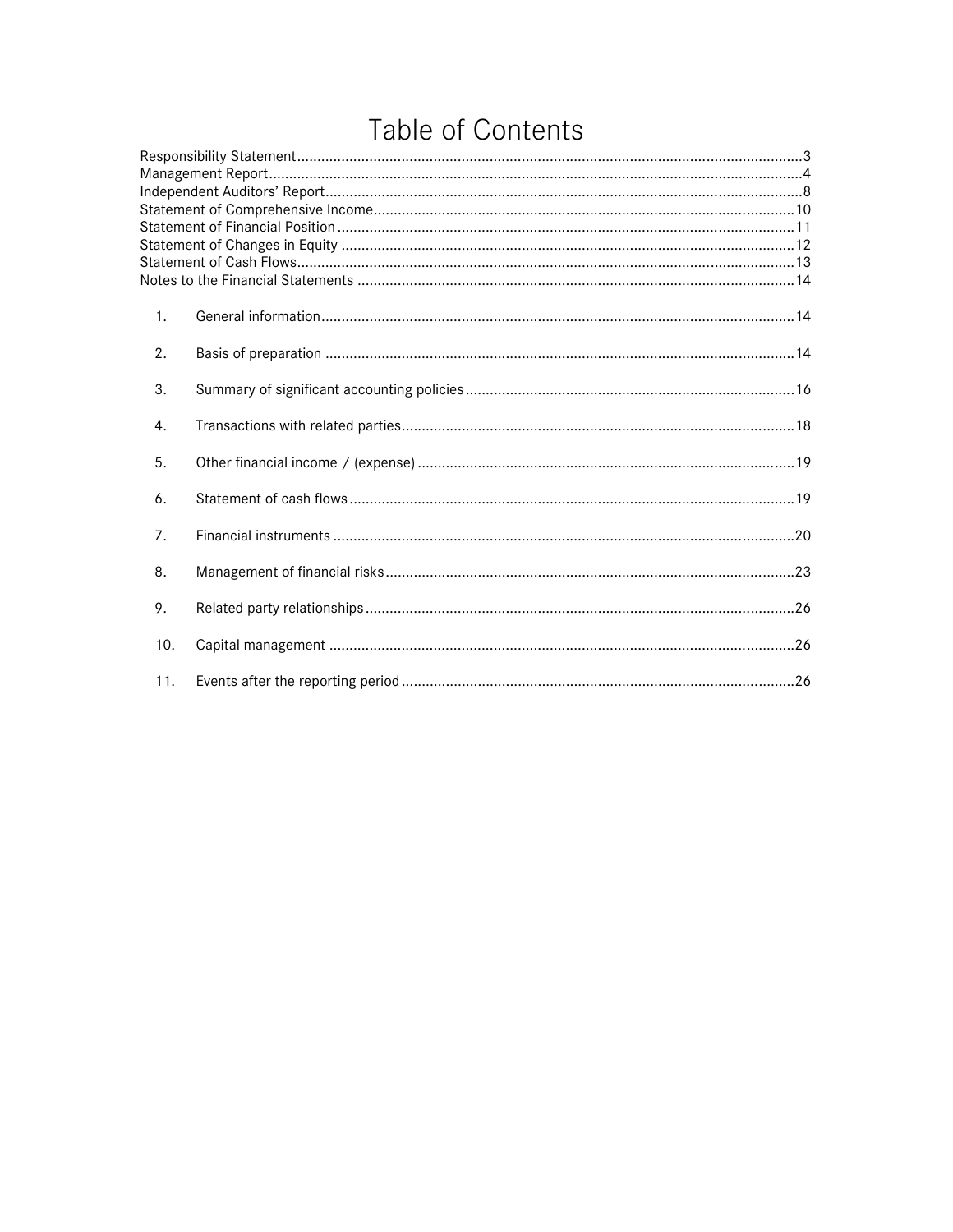## Table of Contents

| 1.  |  |
|-----|--|
| 2.  |  |
| 3.  |  |
| 4.  |  |
| 5.  |  |
| 6.  |  |
| 7.  |  |
| 8.  |  |
| 9.  |  |
| 10. |  |
| 11. |  |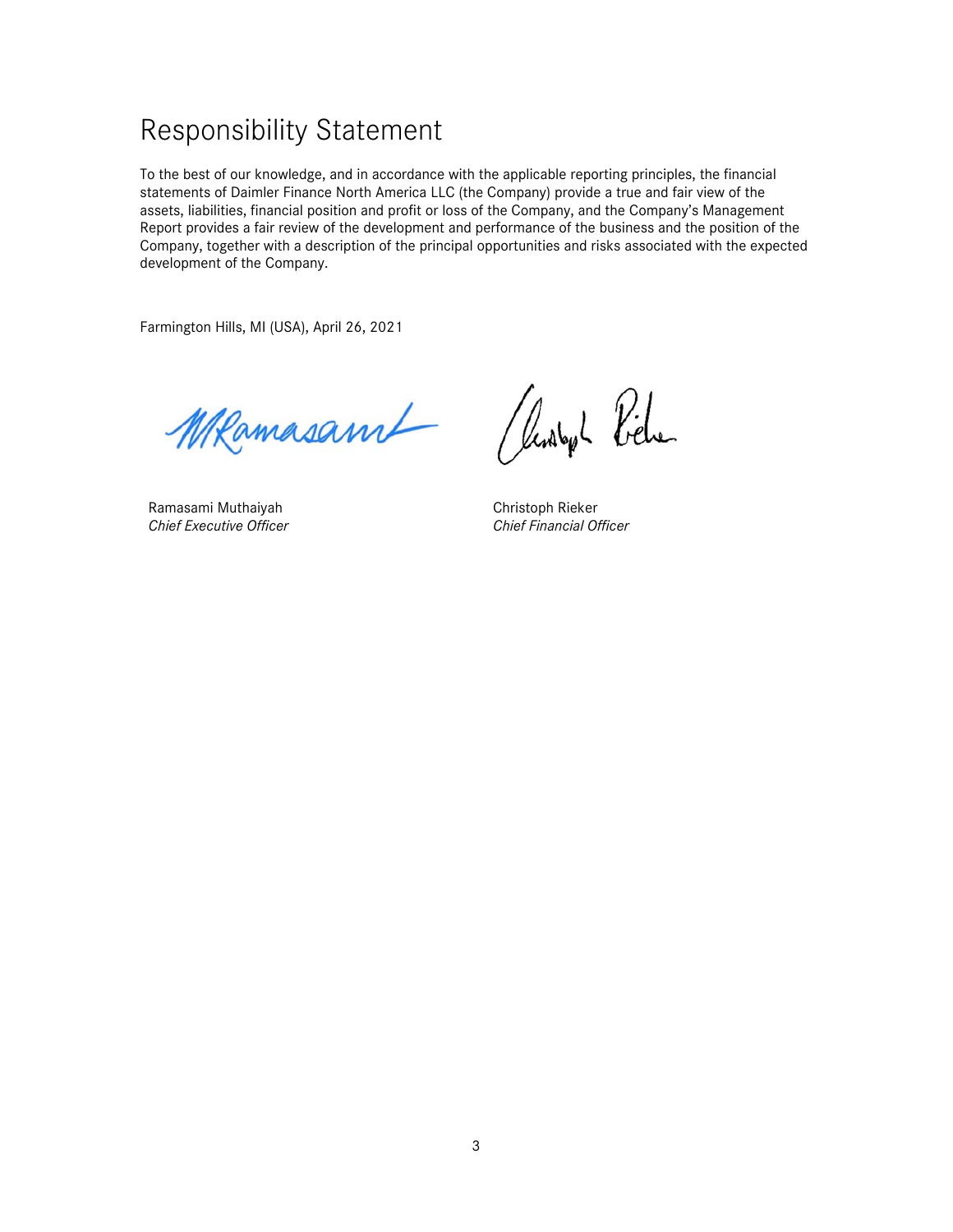## Responsibility Statement

To the best of our knowledge, and in accordance with the applicable reporting principles, the financial statements of Daimler Finance North America LLC (the Company) provide a true and fair view of the assets, liabilities, financial position and profit or loss of the Company, and the Company's Management Report provides a fair review of the development and performance of the business and the position of the Company, together with a description of the principal opportunities and risks associated with the expected development of the Company.

Farmington Hills, MI (USA), April 26, 2021

Wkamasaml

Ramasami Muthaiyah *Chief Executive Officer*

Rendby L Velve

Christoph Rieker *Chief Financial Officer*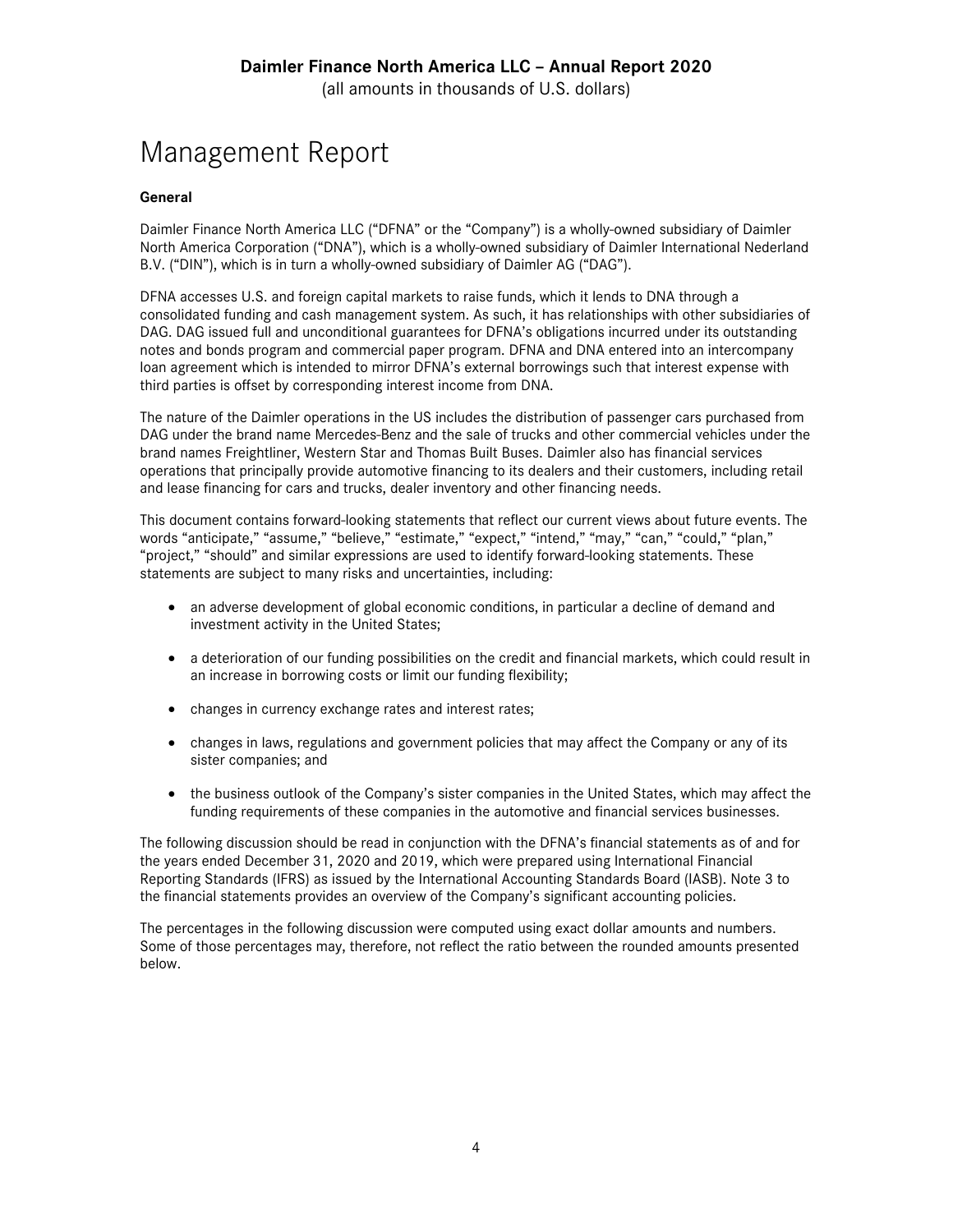(all amounts in thousands of U.S. dollars)

## Management Report

#### **General**

Daimler Finance North America LLC ("DFNA" or the "Company") is a wholly-owned subsidiary of Daimler North America Corporation ("DNA"), which is a wholly-owned subsidiary of Daimler International Nederland B.V. ("DIN"), which is in turn a wholly-owned subsidiary of Daimler AG ("DAG").

DFNA accesses U.S. and foreign capital markets to raise funds, which it lends to DNA through a consolidated funding and cash management system. As such, it has relationships with other subsidiaries of DAG. DAG issued full and unconditional guarantees for DFNA's obligations incurred under its outstanding notes and bonds program and commercial paper program. DFNA and DNA entered into an intercompany loan agreement which is intended to mirror DFNA's external borrowings such that interest expense with third parties is offset by corresponding interest income from DNA.

The nature of the Daimler operations in the US includes the distribution of passenger cars purchased from DAG under the brand name Mercedes-Benz and the sale of trucks and other commercial vehicles under the brand names Freightliner, Western Star and Thomas Built Buses. Daimler also has financial services operations that principally provide automotive financing to its dealers and their customers, including retail and lease financing for cars and trucks, dealer inventory and other financing needs.

This document contains forward-looking statements that reflect our current views about future events. The words "anticipate," "assume," "believe," "estimate," "expect," "intend," "may," "can," "could," "plan," "project," "should" and similar expressions are used to identify forward-looking statements. These statements are subject to many risks and uncertainties, including:

- an adverse development of global economic conditions, in particular a decline of demand and investment activity in the United States;
- a deterioration of our funding possibilities on the credit and financial markets, which could result in an increase in borrowing costs or limit our funding flexibility;
- changes in currency exchange rates and interest rates;
- changes in laws, regulations and government policies that may affect the Company or any of its sister companies; and
- the business outlook of the Company's sister companies in the United States, which may affect the funding requirements of these companies in the automotive and financial services businesses.

The following discussion should be read in conjunction with the DFNA's financial statements as of and for the years ended December 31, 2020 and 2019, which were prepared using International Financial Reporting Standards (IFRS) as issued by the International Accounting Standards Board (IASB). Note 3 to the financial statements provides an overview of the Company's significant accounting policies.

The percentages in the following discussion were computed using exact dollar amounts and numbers. Some of those percentages may, therefore, not reflect the ratio between the rounded amounts presented below.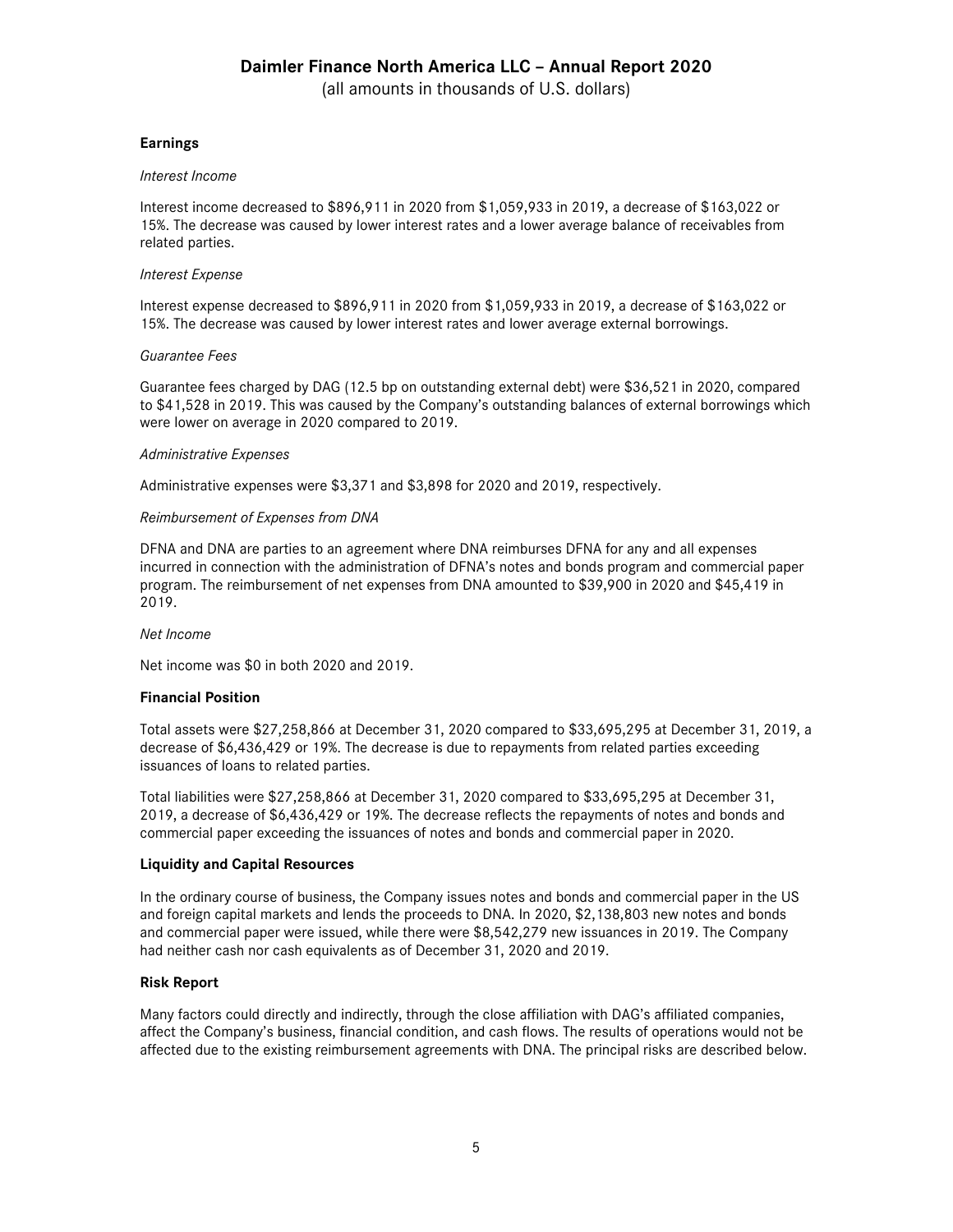(all amounts in thousands of U.S. dollars)

#### **Earnings**

#### *Interest Income*

Interest income decreased to \$896,911 in 2020 from \$1,059,933 in 2019, a decrease of \$163,022 or 15%. The decrease was caused by lower interest rates and a lower average balance of receivables from related parties.

#### *Interest Expense*

Interest expense decreased to \$896,911 in 2020 from \$1,059,933 in 2019, a decrease of \$163,022 or 15%. The decrease was caused by lower interest rates and lower average external borrowings.

#### *Guarantee Fees*

Guarantee fees charged by DAG (12.5 bp on outstanding external debt) were \$36,521 in 2020, compared to \$41,528 in 2019. This was caused by the Company's outstanding balances of external borrowings which were lower on average in 2020 compared to 2019.

#### *Administrative Expenses*

Administrative expenses were \$3,371 and \$3,898 for 2020 and 2019, respectively.

#### *Reimbursement of Expenses from DNA*

DFNA and DNA are parties to an agreement where DNA reimburses DFNA for any and all expenses incurred in connection with the administration of DFNA's notes and bonds program and commercial paper program. The reimbursement of net expenses from DNA amounted to \$39,900 in 2020 and \$45,419 in 2019.

#### *Net Income*

Net income was \$0 in both 2020 and 2019.

#### **Financial Position**

Total assets were \$27,258,866 at December 31, 2020 compared to \$33,695,295 at December 31, 2019, a decrease of \$6,436,429 or 19%. The decrease is due to repayments from related parties exceeding issuances of loans to related parties.

Total liabilities were \$27,258,866 at December 31, 2020 compared to \$33,695,295 at December 31, 2019, a decrease of \$6,436,429 or 19%. The decrease reflects the repayments of notes and bonds and commercial paper exceeding the issuances of notes and bonds and commercial paper in 2020.

#### **Liquidity and Capital Resources**

In the ordinary course of business, the Company issues notes and bonds and commercial paper in the US and foreign capital markets and lends the proceeds to DNA. In 2020, \$2,138,803 new notes and bonds and commercial paper were issued, while there were \$8,542,279 new issuances in 2019. The Company had neither cash nor cash equivalents as of December 31, 2020 and 2019.

#### **Risk Report**

Many factors could directly and indirectly, through the close affiliation with DAG's affiliated companies, affect the Company's business, financial condition, and cash flows. The results of operations would not be affected due to the existing reimbursement agreements with DNA. The principal risks are described below.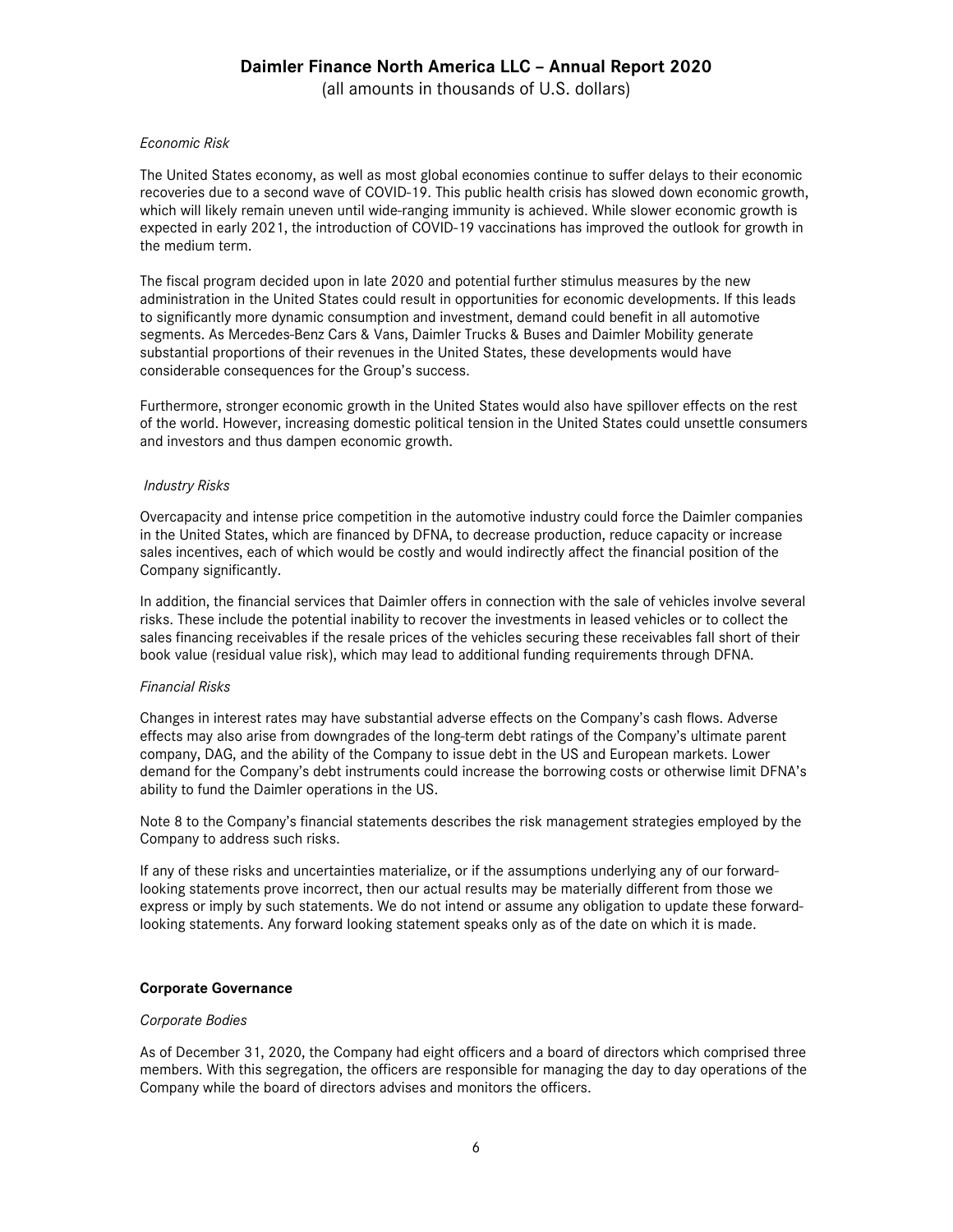(all amounts in thousands of U.S. dollars)

#### *Economic Risk*

The United States economy, as well as most global economies continue to suffer delays to their economic recoveries due to a second wave of COVID-19. This public health crisis has slowed down economic growth, which will likely remain uneven until wide-ranging immunity is achieved. While slower economic growth is expected in early 2021, the introduction of COVID-19 vaccinations has improved the outlook for growth in the medium term.

The fiscal program decided upon in late 2020 and potential further stimulus measures by the new administration in the United States could result in opportunities for economic developments. If this leads to significantly more dynamic consumption and investment, demand could benefit in all automotive segments. As Mercedes-Benz Cars & Vans, Daimler Trucks & Buses and Daimler Mobility generate substantial proportions of their revenues in the United States, these developments would have considerable consequences for the Group's success.

Furthermore, stronger economic growth in the United States would also have spillover effects on the rest of the world. However, increasing domestic political tension in the United States could unsettle consumers and investors and thus dampen economic growth.

#### *Industry Risks*

Overcapacity and intense price competition in the automotive industry could force the Daimler companies in the United States, which are financed by DFNA, to decrease production, reduce capacity or increase sales incentives, each of which would be costly and would indirectly affect the financial position of the Company significantly.

In addition, the financial services that Daimler offers in connection with the sale of vehicles involve several risks. These include the potential inability to recover the investments in leased vehicles or to collect the sales financing receivables if the resale prices of the vehicles securing these receivables fall short of their book value (residual value risk), which may lead to additional funding requirements through DFNA.

#### *Financial Risks*

Changes in interest rates may have substantial adverse effects on the Company's cash flows. Adverse effects may also arise from downgrades of the long-term debt ratings of the Company's ultimate parent company, DAG, and the ability of the Company to issue debt in the US and European markets. Lower demand for the Company's debt instruments could increase the borrowing costs or otherwise limit DFNA's ability to fund the Daimler operations in the US.

Note 8 to the Company's financial statements describes the risk management strategies employed by the Company to address such risks.

If any of these risks and uncertainties materialize, or if the assumptions underlying any of our forwardlooking statements prove incorrect, then our actual results may be materially different from those we express or imply by such statements. We do not intend or assume any obligation to update these forwardlooking statements. Any forward looking statement speaks only as of the date on which it is made.

#### **Corporate Governance**

#### *Corporate Bodies*

As of December 31, 2020, the Company had eight officers and a board of directors which comprised three members. With this segregation, the officers are responsible for managing the day to day operations of the Company while the board of directors advises and monitors the officers.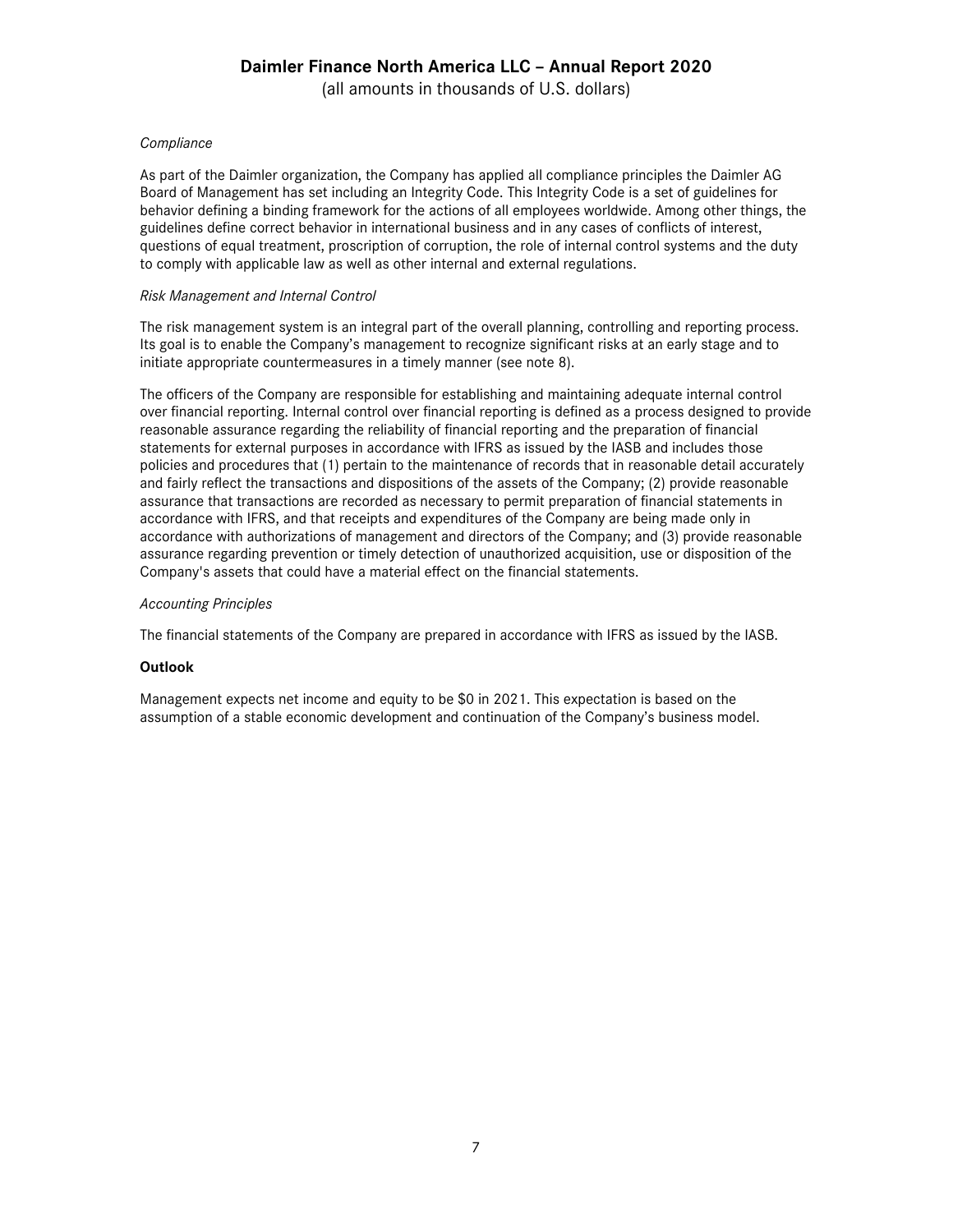(all amounts in thousands of U.S. dollars)

#### *Compliance*

As part of the Daimler organization, the Company has applied all compliance principles the Daimler AG Board of Management has set including an Integrity Code. This Integrity Code is a set of guidelines for behavior defining a binding framework for the actions of all employees worldwide. Among other things, the guidelines define correct behavior in international business and in any cases of conflicts of interest, questions of equal treatment, proscription of corruption, the role of internal control systems and the duty to comply with applicable law as well as other internal and external regulations.

#### *Risk Management and Internal Control*

The risk management system is an integral part of the overall planning, controlling and reporting process. Its goal is to enable the Company's management to recognize significant risks at an early stage and to initiate appropriate countermeasures in a timely manner (see note 8).

The officers of the Company are responsible for establishing and maintaining adequate internal control over financial reporting. Internal control over financial reporting is defined as a process designed to provide reasonable assurance regarding the reliability of financial reporting and the preparation of financial statements for external purposes in accordance with IFRS as issued by the IASB and includes those policies and procedures that (1) pertain to the maintenance of records that in reasonable detail accurately and fairly reflect the transactions and dispositions of the assets of the Company; (2) provide reasonable assurance that transactions are recorded as necessary to permit preparation of financial statements in accordance with IFRS, and that receipts and expenditures of the Company are being made only in accordance with authorizations of management and directors of the Company; and (3) provide reasonable assurance regarding prevention or timely detection of unauthorized acquisition, use or disposition of the Company's assets that could have a material effect on the financial statements.

#### *Accounting Principles*

The financial statements of the Company are prepared in accordance with IFRS as issued by the IASB.

#### **Outlook**

Management expects net income and equity to be \$0 in 2021. This expectation is based on the assumption of a stable economic development and continuation of the Company's business model.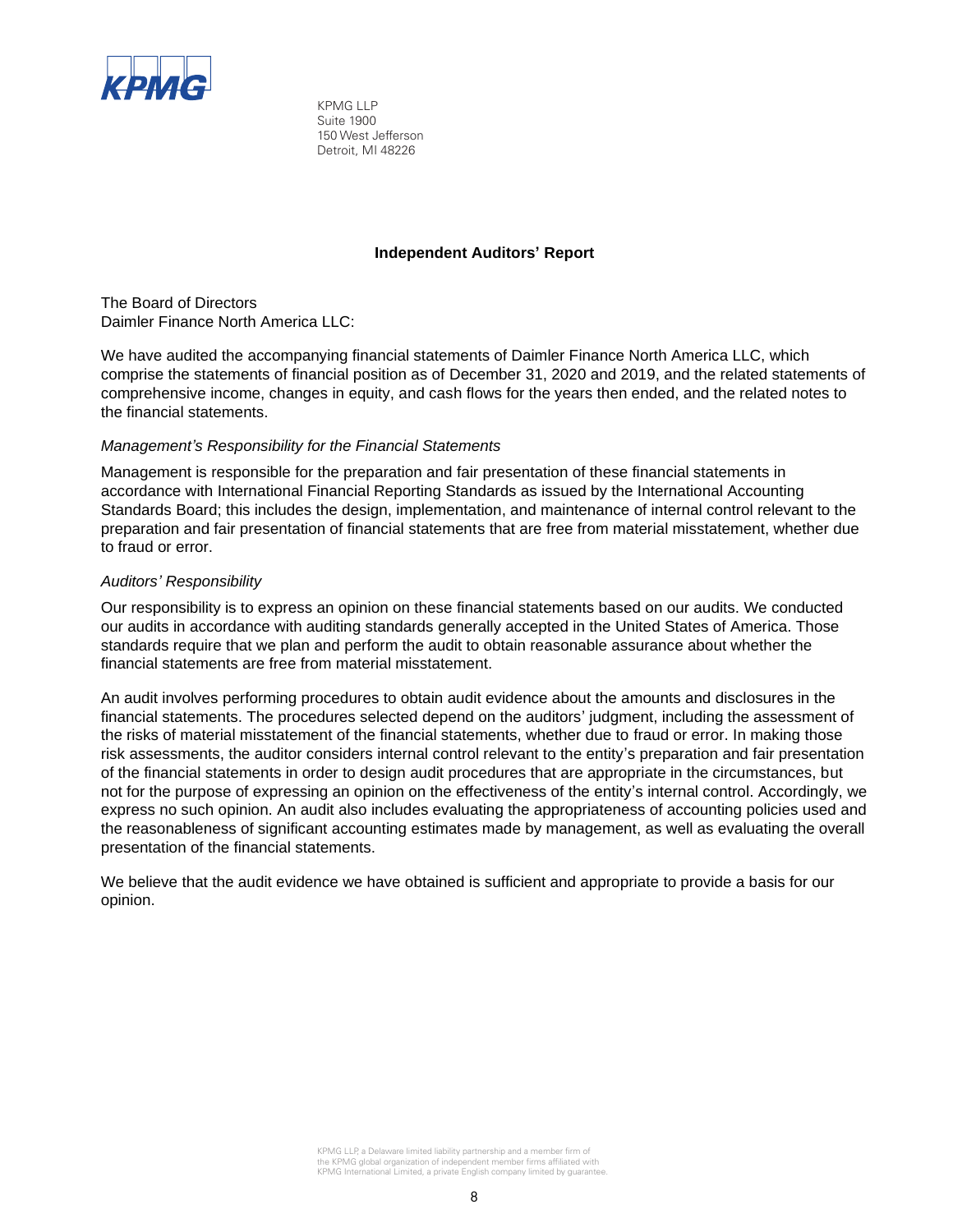

KPMG LLP Suite 1900 150 West Jefferson Detroit, MI 48226

#### **Independent Auditors' Report**

The Board of Directors Daimler Finance North America LLC:

We have audited the accompanying financial statements of Daimler Finance North America LLC, which comprise the statements of financial position as of December 31, 2020 and 2019, and the related statements of comprehensive income, changes in equity, and cash flows for the years then ended, and the related notes to the financial statements.

#### *Management's Responsibility for the Financial Statements*

Management is responsible for the preparation and fair presentation of these financial statements in accordance with International Financial Reporting Standards as issued by the International Accounting Standards Board; this includes the design, implementation, and maintenance of internal control relevant to the preparation and fair presentation of financial statements that are free from material misstatement, whether due to fraud or error.

#### *Auditors' Responsibility*

Our responsibility is to express an opinion on these financial statements based on our audits. We conducted our audits in accordance with auditing standards generally accepted in the United States of America. Those standards require that we plan and perform the audit to obtain reasonable assurance about whether the financial statements are free from material misstatement.

An audit involves performing procedures to obtain audit evidence about the amounts and disclosures in the financial statements. The procedures selected depend on the auditors' judgment, including the assessment of the risks of material misstatement of the financial statements, whether due to fraud or error. In making those risk assessments, the auditor considers internal control relevant to the entity's preparation and fair presentation of the financial statements in order to design audit procedures that are appropriate in the circumstances, but not for the purpose of expressing an opinion on the effectiveness of the entity's internal control. Accordingly, we express no such opinion. An audit also includes evaluating the appropriateness of accounting policies used and the reasonableness of significant accounting estimates made by management, as well as evaluating the overall presentation of the financial statements.

We believe that the audit evidence we have obtained is sufficient and appropriate to provide a basis for our opinion.

> KPMG LLP, a Delaware limited liability partnership and a member firm of the KPMG global organization of independent member firms affiliated with KPMG International Limited, a private English company limited by guarantee.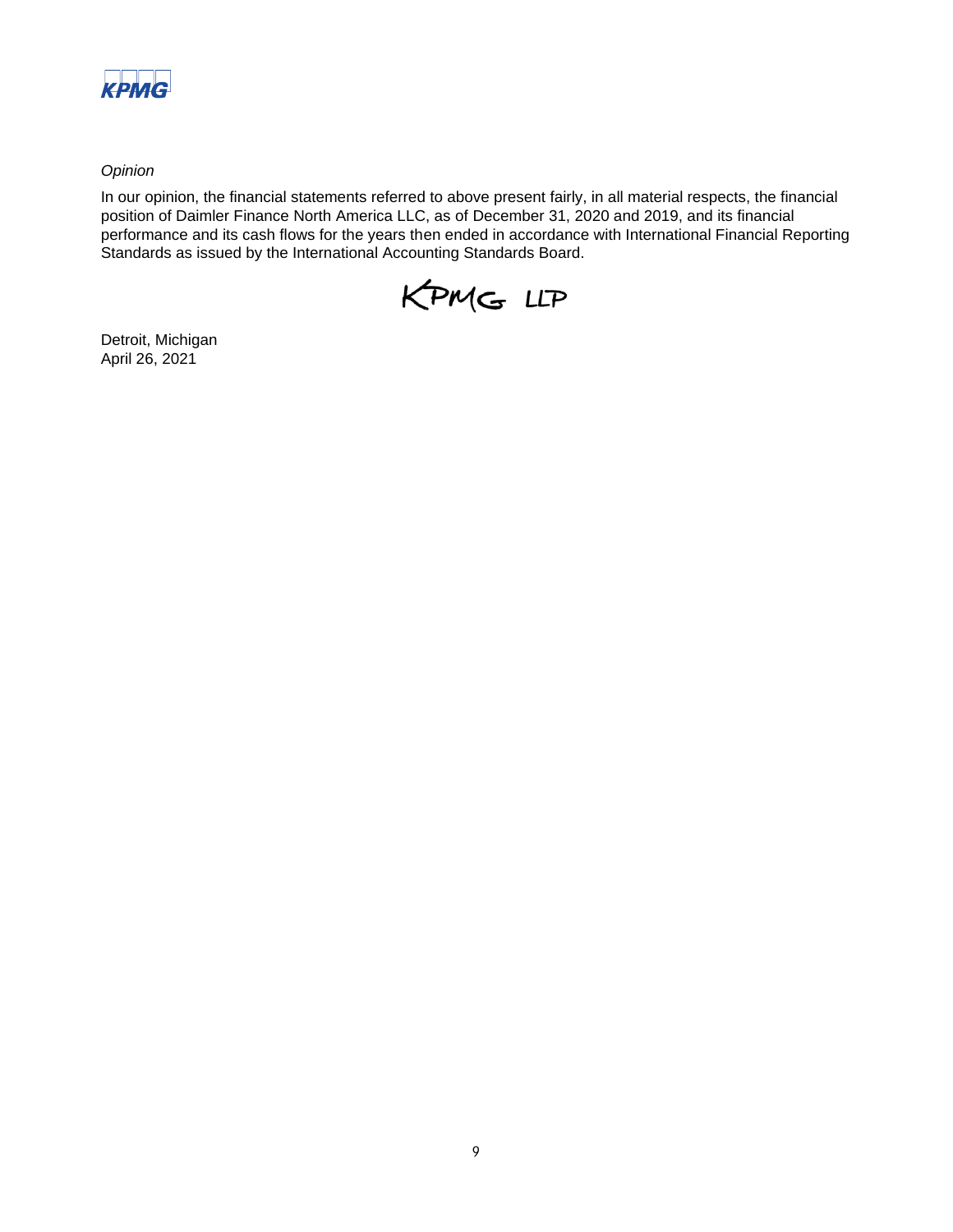

*Opinion*

In our opinion, the financial statements referred to above present fairly, in all material respects, the financial position of Daimler Finance North America LLC, as of December 31, 2020 and 2019, and its financial performance and its cash flows for the years then ended in accordance with International Financial Reporting Standards as issued by the International Accounting Standards Board.



Detroit, Michigan April 26, 2021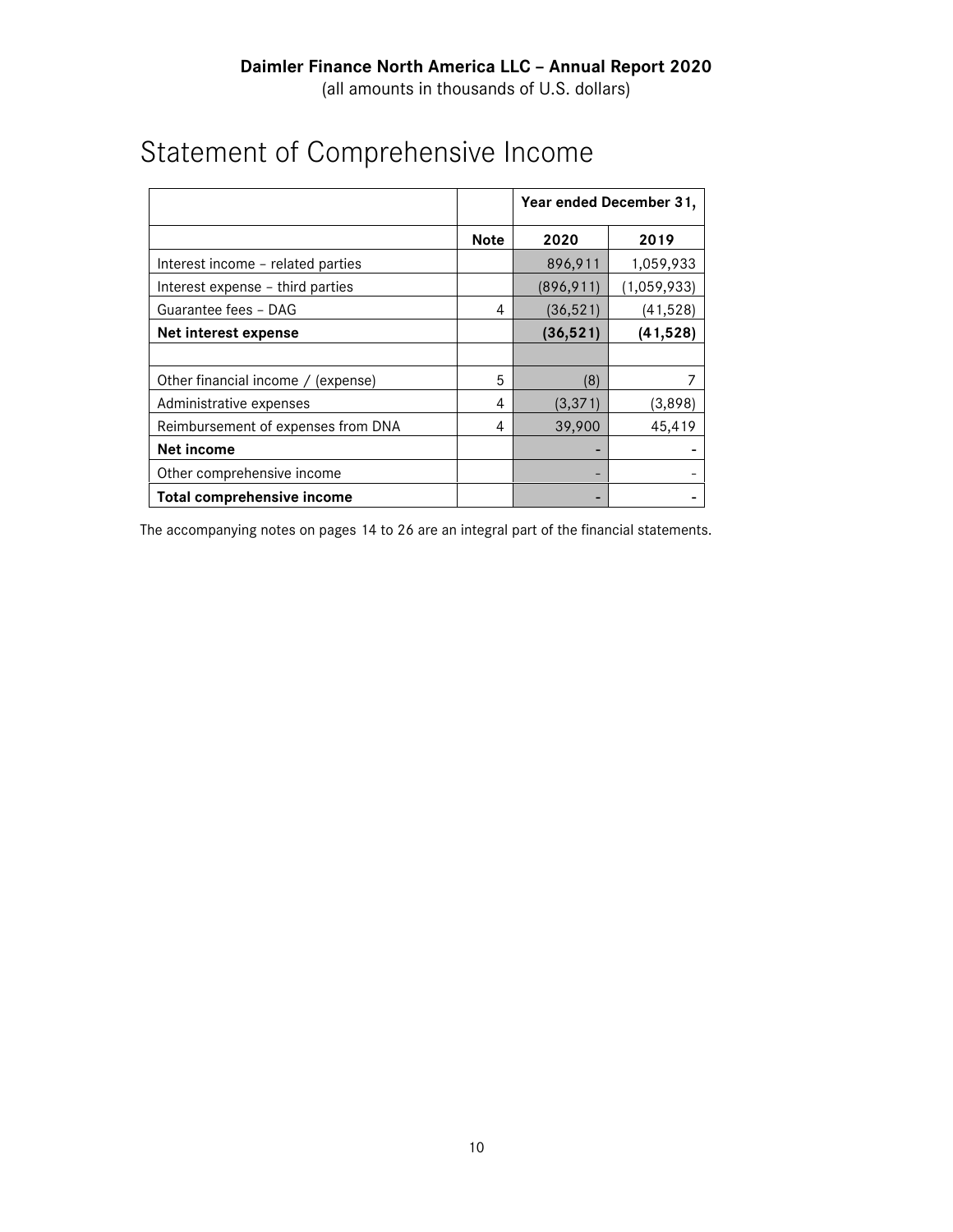|                                    |             | Year ended December 31, |             |
|------------------------------------|-------------|-------------------------|-------------|
|                                    | <b>Note</b> | 2020                    | 2019        |
| Interest income - related parties  |             | 896,911                 | 1,059,933   |
| Interest expense - third parties   |             | (896, 911)              | (1,059,933) |
| Guarantee fees - DAG               | 4           | (36, 521)               | (41,528)    |
| Net interest expense               |             | (36, 521)               | (41, 528)   |
|                                    |             |                         |             |
| Other financial income / (expense) | 5           | (8)                     |             |
| Administrative expenses            | 4           | (3, 371)                | (3,898)     |
| Reimbursement of expenses from DNA | 4           | 39,900                  | 45,419      |
| Net income                         |             |                         |             |
| Other comprehensive income         |             |                         |             |
| <b>Total comprehensive income</b>  |             |                         |             |

## Statement of Comprehensive Income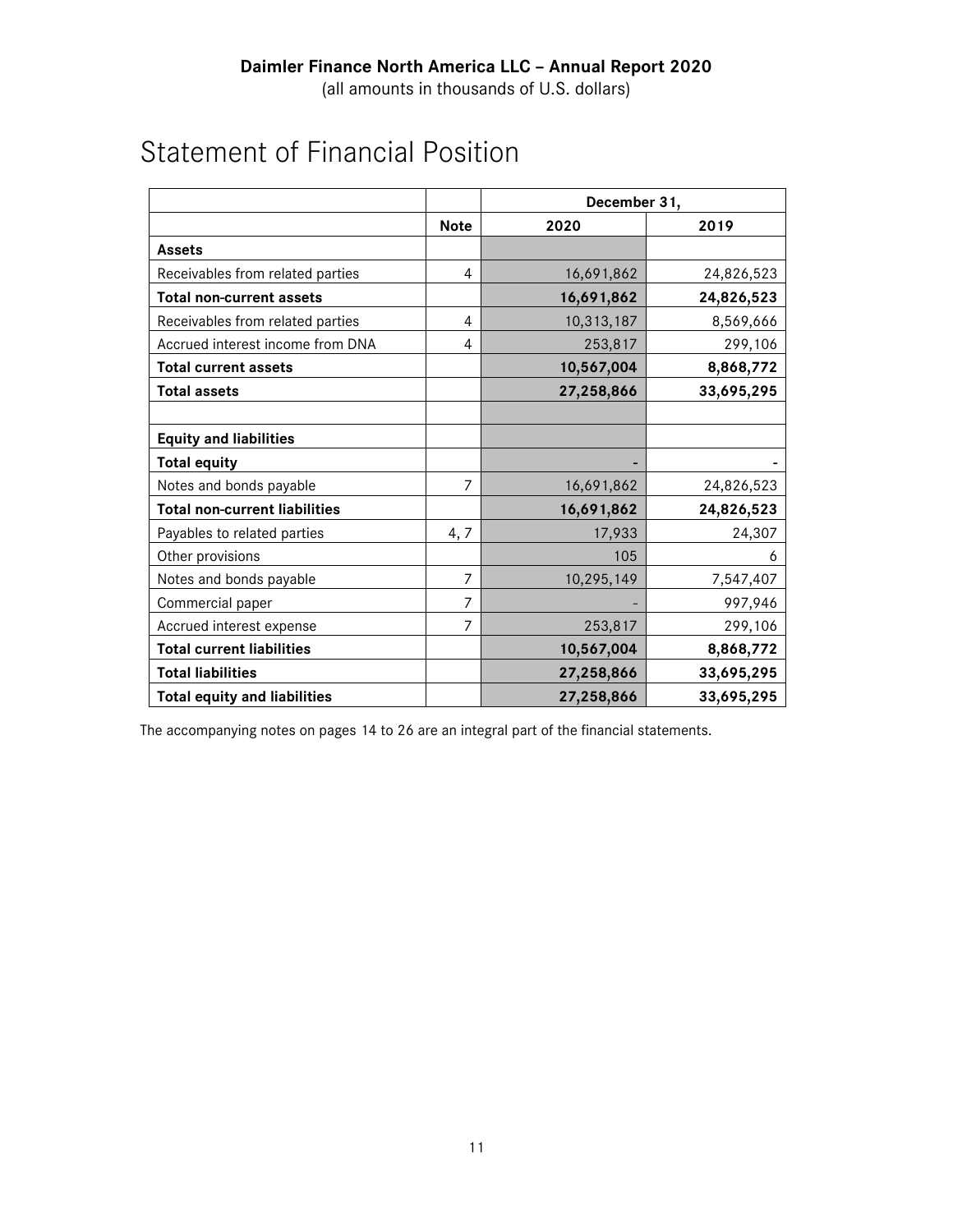|                                      |                | December 31, |            |
|--------------------------------------|----------------|--------------|------------|
|                                      | <b>Note</b>    | 2020         | 2019       |
| <b>Assets</b>                        |                |              |            |
| Receivables from related parties     | 4              | 16,691,862   | 24,826,523 |
| <b>Total non-current assets</b>      |                | 16,691,862   | 24,826,523 |
| Receivables from related parties     | 4              | 10,313,187   | 8,569,666  |
| Accrued interest income from DNA     | 4              | 253,817      | 299,106    |
| <b>Total current assets</b>          |                | 10,567,004   | 8,868,772  |
| <b>Total assets</b>                  |                | 27,258,866   | 33,695,295 |
| <b>Equity and liabilities</b>        |                |              |            |
| <b>Total equity</b>                  |                |              |            |
| Notes and bonds payable              | $\overline{7}$ | 16,691,862   | 24,826,523 |
| <b>Total non-current liabilities</b> |                | 16,691,862   | 24,826,523 |
| Payables to related parties          | 4,7            | 17,933       | 24,307     |
| Other provisions                     |                | 105          | 6          |
| Notes and bonds payable              | $\overline{7}$ | 10,295,149   | 7,547,407  |
| Commercial paper                     | 7              |              | 997,946    |
| Accrued interest expense             | 7              | 253,817      | 299,106    |
| <b>Total current liabilities</b>     |                | 10,567,004   | 8,868,772  |
| <b>Total liabilities</b>             |                | 27,258,866   | 33,695,295 |
| <b>Total equity and liabilities</b>  |                | 27,258,866   | 33,695,295 |

## Statement of Financial Position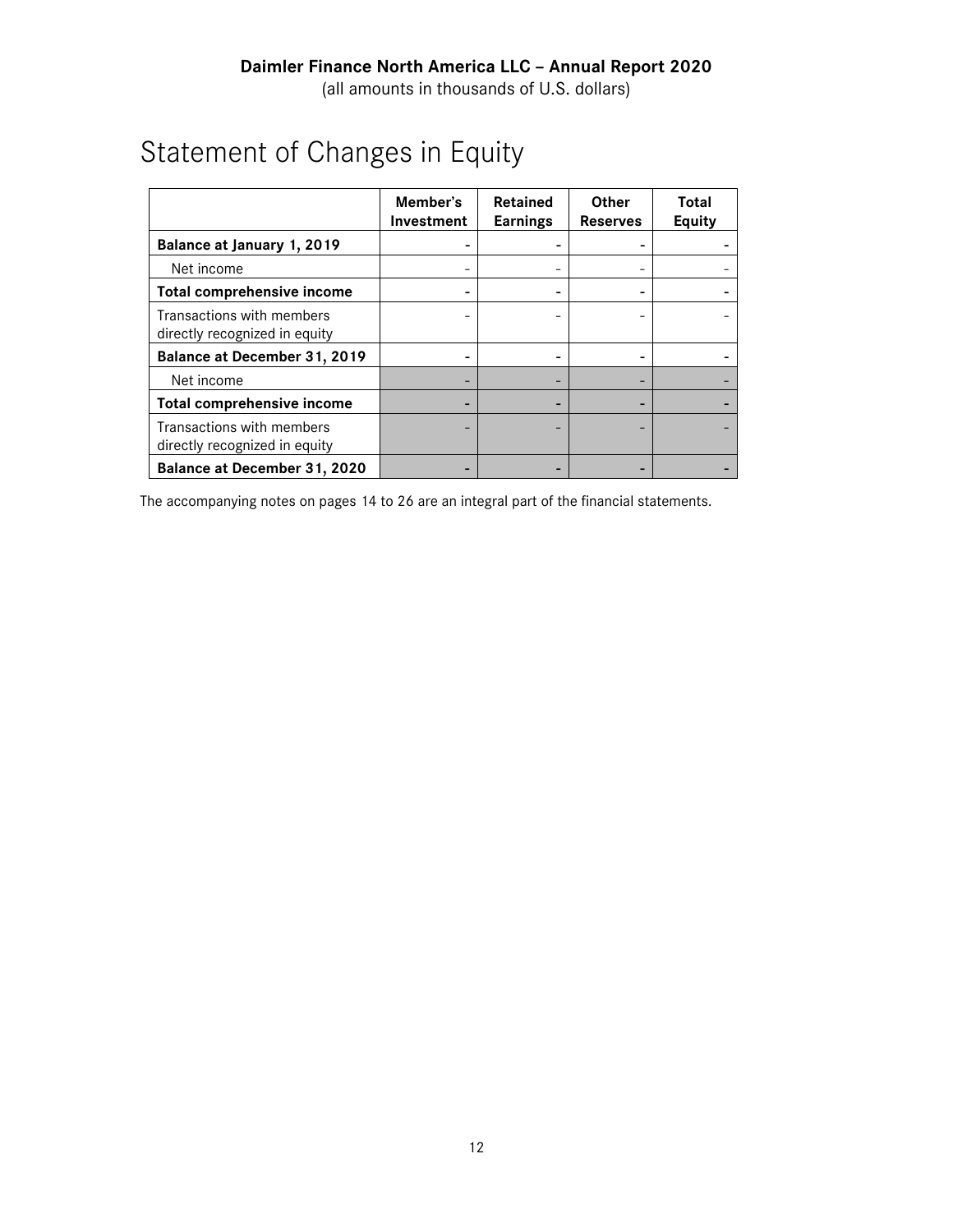## Statement of Changes in Equity

|                                                            | Member's<br>Investment | <b>Retained</b><br><b>Earnings</b> | <b>Other</b><br><b>Reserves</b> | Total<br>Equity |
|------------------------------------------------------------|------------------------|------------------------------------|---------------------------------|-----------------|
| Balance at January 1, 2019                                 |                        |                                    |                                 |                 |
| Net income                                                 |                        |                                    |                                 |                 |
| <b>Total comprehensive income</b>                          |                        |                                    |                                 |                 |
| Transactions with members<br>directly recognized in equity |                        |                                    |                                 |                 |
| Balance at December 31, 2019                               |                        |                                    |                                 |                 |
| Net income                                                 |                        |                                    |                                 |                 |
| <b>Total comprehensive income</b>                          |                        |                                    |                                 |                 |
| Transactions with members<br>directly recognized in equity |                        |                                    |                                 |                 |
| Balance at December 31, 2020                               |                        |                                    |                                 |                 |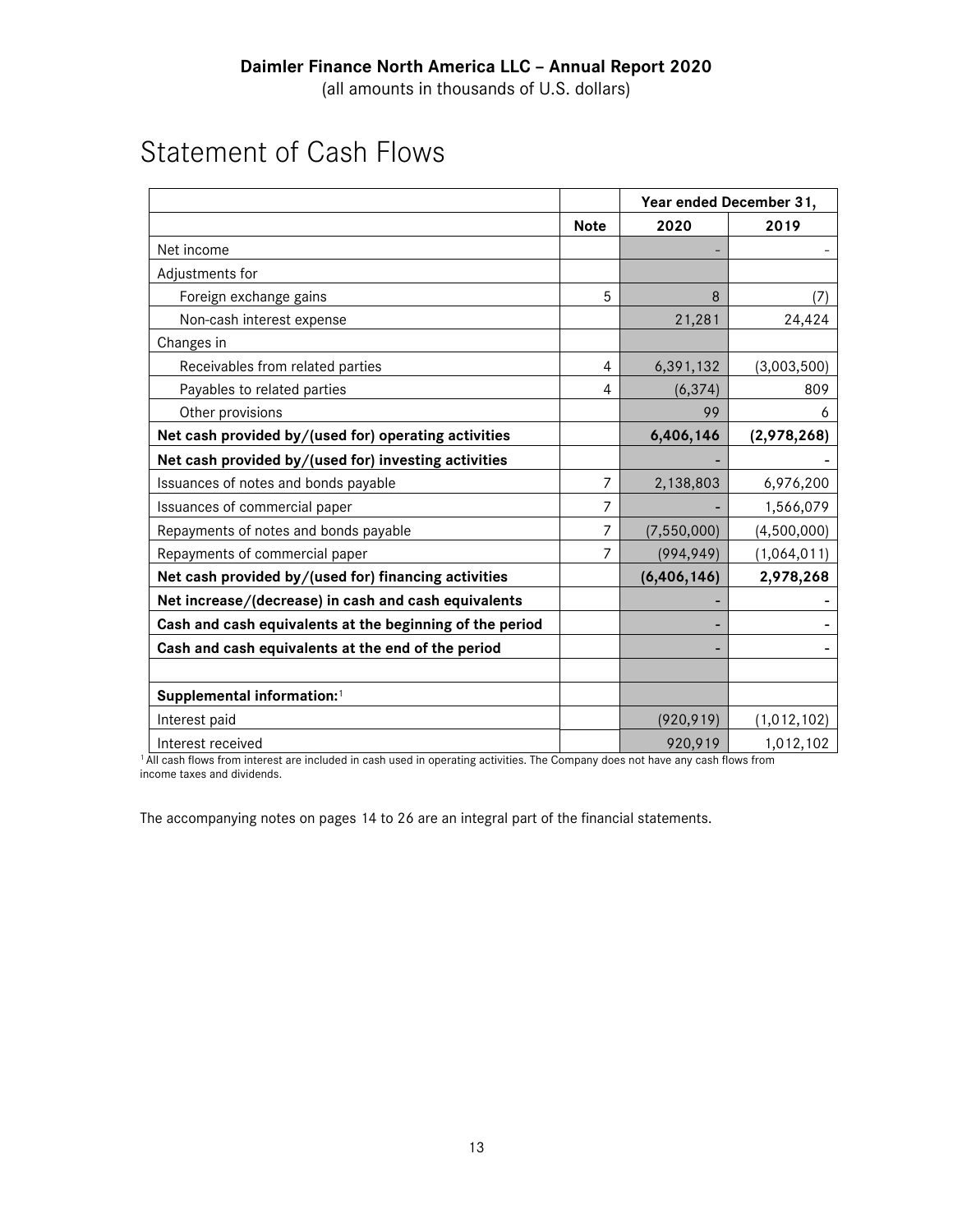## Statement of Cash Flows

|                                                          |             | Year ended December 31, |             |
|----------------------------------------------------------|-------------|-------------------------|-------------|
|                                                          | <b>Note</b> | 2020                    | 2019        |
| Net income                                               |             |                         |             |
| Adjustments for                                          |             |                         |             |
| Foreign exchange gains                                   | 5           | 8                       | (7)         |
| Non-cash interest expense                                |             | 21,281                  | 24,424      |
| Changes in                                               |             |                         |             |
| Receivables from related parties                         | 4           | 6,391,132               | (3,003,500) |
| Payables to related parties                              | 4           | (6, 374)                | 809         |
| Other provisions                                         |             | 99                      | 6           |
| Net cash provided by/(used for) operating activities     |             | 6,406,146               | (2,978,268) |
| Net cash provided by/(used for) investing activities     |             |                         |             |
| Issuances of notes and bonds payable                     | 7           | 2,138,803               | 6,976,200   |
| Issuances of commercial paper                            | 7           |                         | 1,566,079   |
| Repayments of notes and bonds payable                    | 7           | (7, 550, 000)           | (4,500,000) |
| Repayments of commercial paper                           | 7           | (994, 949)              | (1,064,011) |
| Net cash provided by/(used for) financing activities     |             | (6, 406, 146)           | 2,978,268   |
| Net increase/(decrease) in cash and cash equivalents     |             |                         |             |
| Cash and cash equivalents at the beginning of the period |             |                         |             |
| Cash and cash equivalents at the end of the period       |             |                         |             |
|                                                          |             |                         |             |
| Supplemental information: <sup>1</sup>                   |             |                         |             |
| Interest paid                                            |             | (920, 919)              | (1,012,102) |
| Interest received                                        |             | 920,919                 | 1,012,102   |

<sup>1</sup> All cash flows from interest are included in cash used in operating activities. The Company does not have any cash flows from income taxes and dividends.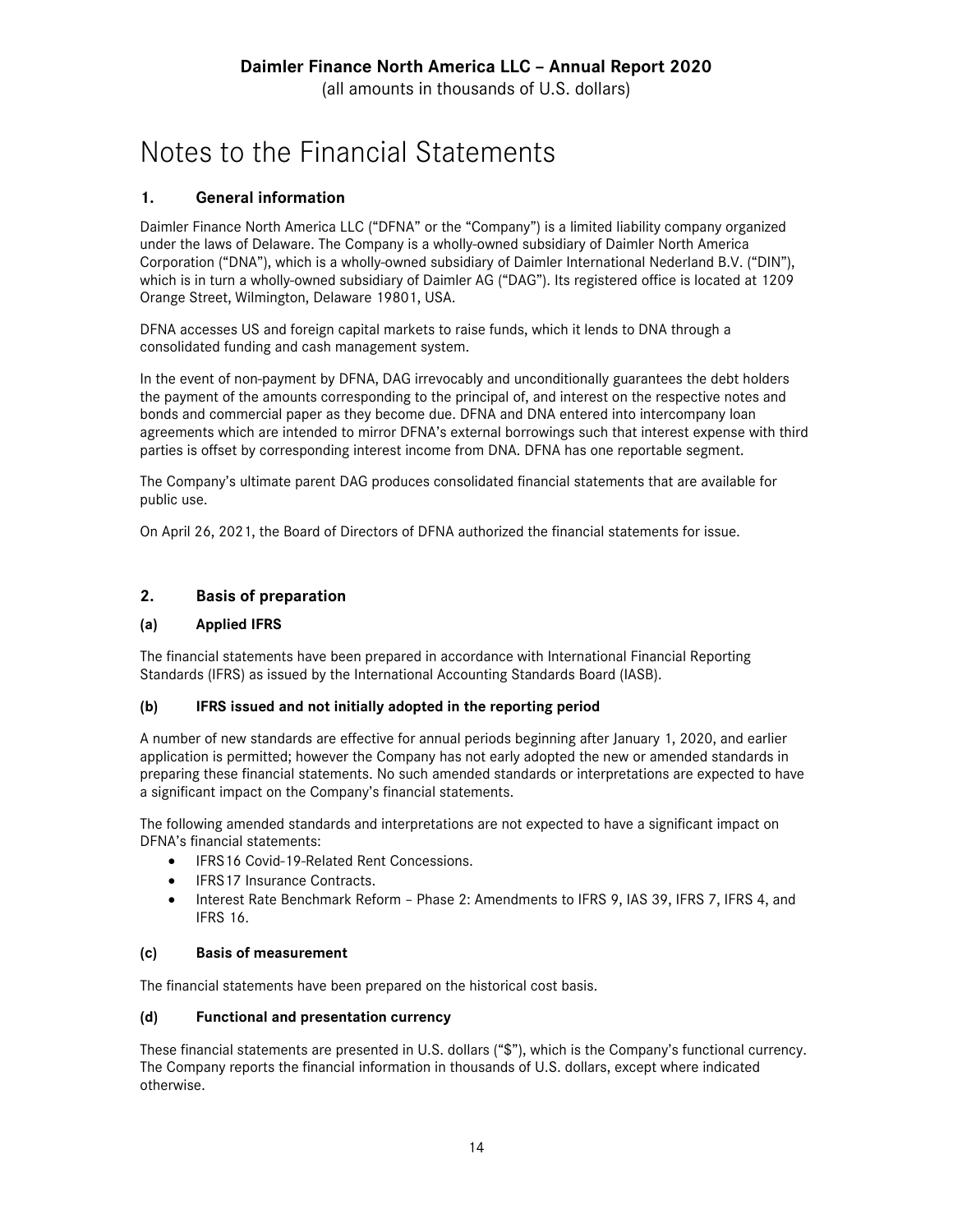## Notes to the Financial Statements

## **1. General information**

Daimler Finance North America LLC ("DFNA" or the "Company") is a limited liability company organized under the laws of Delaware. The Company is a wholly-owned subsidiary of Daimler North America Corporation ("DNA"), which is a wholly-owned subsidiary of Daimler International Nederland B.V. ("DIN"), which is in turn a wholly-owned subsidiary of Daimler AG ("DAG"). Its registered office is located at 1209 Orange Street, Wilmington, Delaware 19801, USA.

DFNA accesses US and foreign capital markets to raise funds, which it lends to DNA through a consolidated funding and cash management system.

In the event of non-payment by DFNA, DAG irrevocably and unconditionally guarantees the debt holders the payment of the amounts corresponding to the principal of, and interest on the respective notes and bonds and commercial paper as they become due. DFNA and DNA entered into intercompany loan agreements which are intended to mirror DFNA's external borrowings such that interest expense with third parties is offset by corresponding interest income from DNA. DFNA has one reportable segment.

The Company's ultimate parent DAG produces consolidated financial statements that are available for public use.

On April 26, 2021, the Board of Directors of DFNA authorized the financial statements for issue.

## **2. Basis of preparation**

## **(a) Applied IFRS**

The financial statements have been prepared in accordance with International Financial Reporting Standards (IFRS) as issued by the International Accounting Standards Board (IASB).

## **(b) IFRS issued and not initially adopted in the reporting period**

A number of new standards are effective for annual periods beginning after January 1, 2020, and earlier application is permitted; however the Company has not early adopted the new or amended standards in preparing these financial statements. No such amended standards or interpretations are expected to have a significant impact on the Company's financial statements.

The following amended standards and interpretations are not expected to have a significant impact on DFNA's financial statements:

- **•** IFRS16 Covid-19-Related Rent Concessions.
- IFRS17 Insurance Contracts.
- Interest Rate Benchmark Reform Phase 2: Amendments to IFRS 9, IAS 39, IFRS 7, IFRS 4, and IFRS 16.

## **(c) Basis of measurement**

The financial statements have been prepared on the historical cost basis.

## **(d) Functional and presentation currency**

These financial statements are presented in U.S. dollars ("\$"), which is the Company's functional currency. The Company reports the financial information in thousands of U.S. dollars, except where indicated otherwise.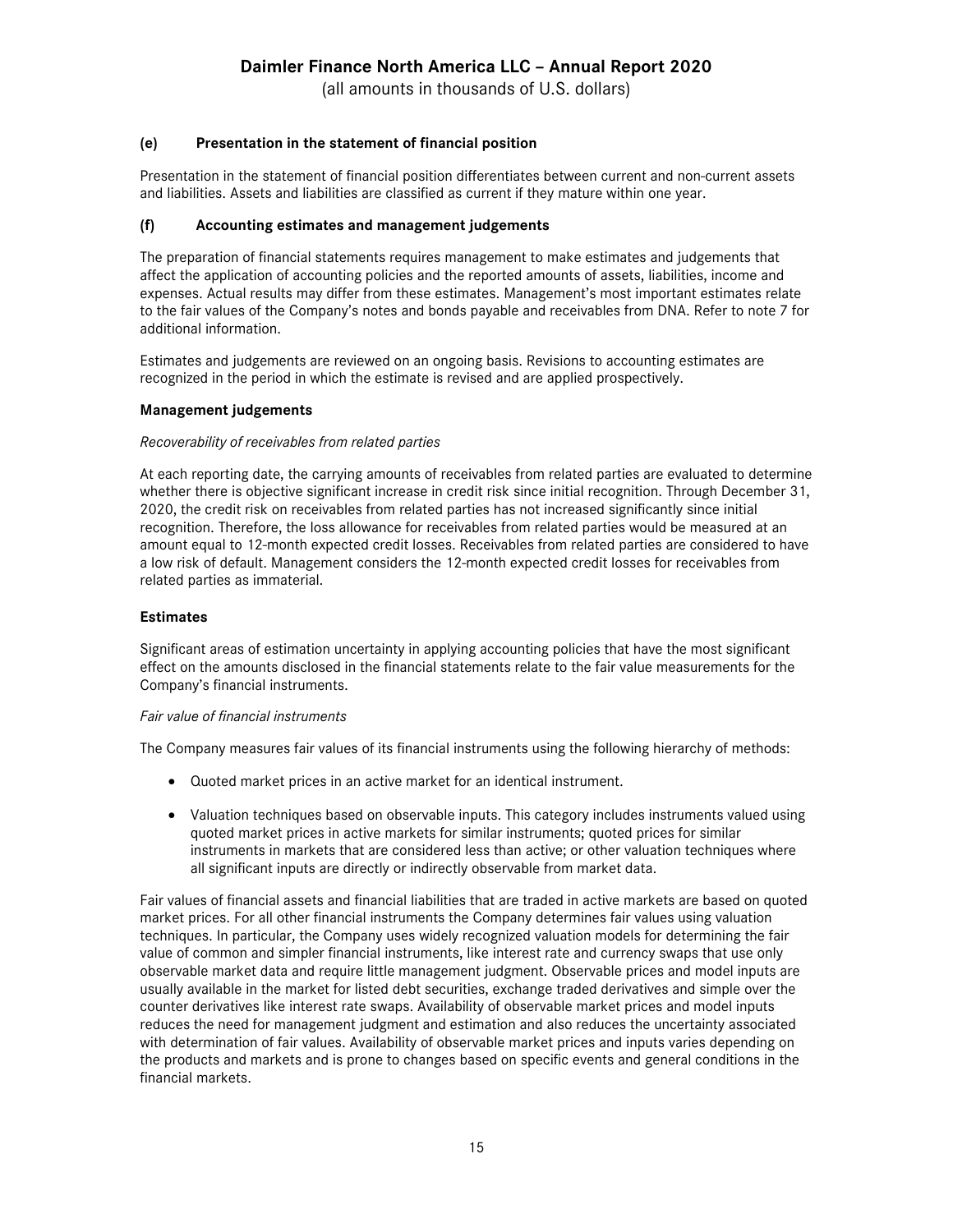(all amounts in thousands of U.S. dollars)

#### **(e) Presentation in the statement of financial position**

Presentation in the statement of financial position differentiates between current and non-current assets and liabilities. Assets and liabilities are classified as current if they mature within one year.

#### **(f) Accounting estimates and management judgements**

The preparation of financial statements requires management to make estimates and judgements that affect the application of accounting policies and the reported amounts of assets, liabilities, income and expenses. Actual results may differ from these estimates. Management's most important estimates relate to the fair values of the Company's notes and bonds payable and receivables from DNA. Refer to note 7 for additional information.

Estimates and judgements are reviewed on an ongoing basis. Revisions to accounting estimates are recognized in the period in which the estimate is revised and are applied prospectively.

#### **Management judgements**

#### *Recoverability of receivables from related parties*

At each reporting date, the carrying amounts of receivables from related parties are evaluated to determine whether there is objective significant increase in credit risk since initial recognition. Through December 31, 2020, the credit risk on receivables from related parties has not increased significantly since initial recognition. Therefore, the loss allowance for receivables from related parties would be measured at an amount equal to 12-month expected credit losses. Receivables from related parties are considered to have a low risk of default. Management considers the 12-month expected credit losses for receivables from related parties as immaterial.

#### **Estimates**

Significant areas of estimation uncertainty in applying accounting policies that have the most significant effect on the amounts disclosed in the financial statements relate to the fair value measurements for the Company's financial instruments.

#### *Fair value of financial instruments*

The Company measures fair values of its financial instruments using the following hierarchy of methods:

- Quoted market prices in an active market for an identical instrument.
- Valuation techniques based on observable inputs. This category includes instruments valued using quoted market prices in active markets for similar instruments; quoted prices for similar instruments in markets that are considered less than active; or other valuation techniques where all significant inputs are directly or indirectly observable from market data.

Fair values of financial assets and financial liabilities that are traded in active markets are based on quoted market prices. For all other financial instruments the Company determines fair values using valuation techniques. In particular, the Company uses widely recognized valuation models for determining the fair value of common and simpler financial instruments, like interest rate and currency swaps that use only observable market data and require little management judgment. Observable prices and model inputs are usually available in the market for listed debt securities, exchange traded derivatives and simple over the counter derivatives like interest rate swaps. Availability of observable market prices and model inputs reduces the need for management judgment and estimation and also reduces the uncertainty associated with determination of fair values. Availability of observable market prices and inputs varies depending on the products and markets and is prone to changes based on specific events and general conditions in the financial markets.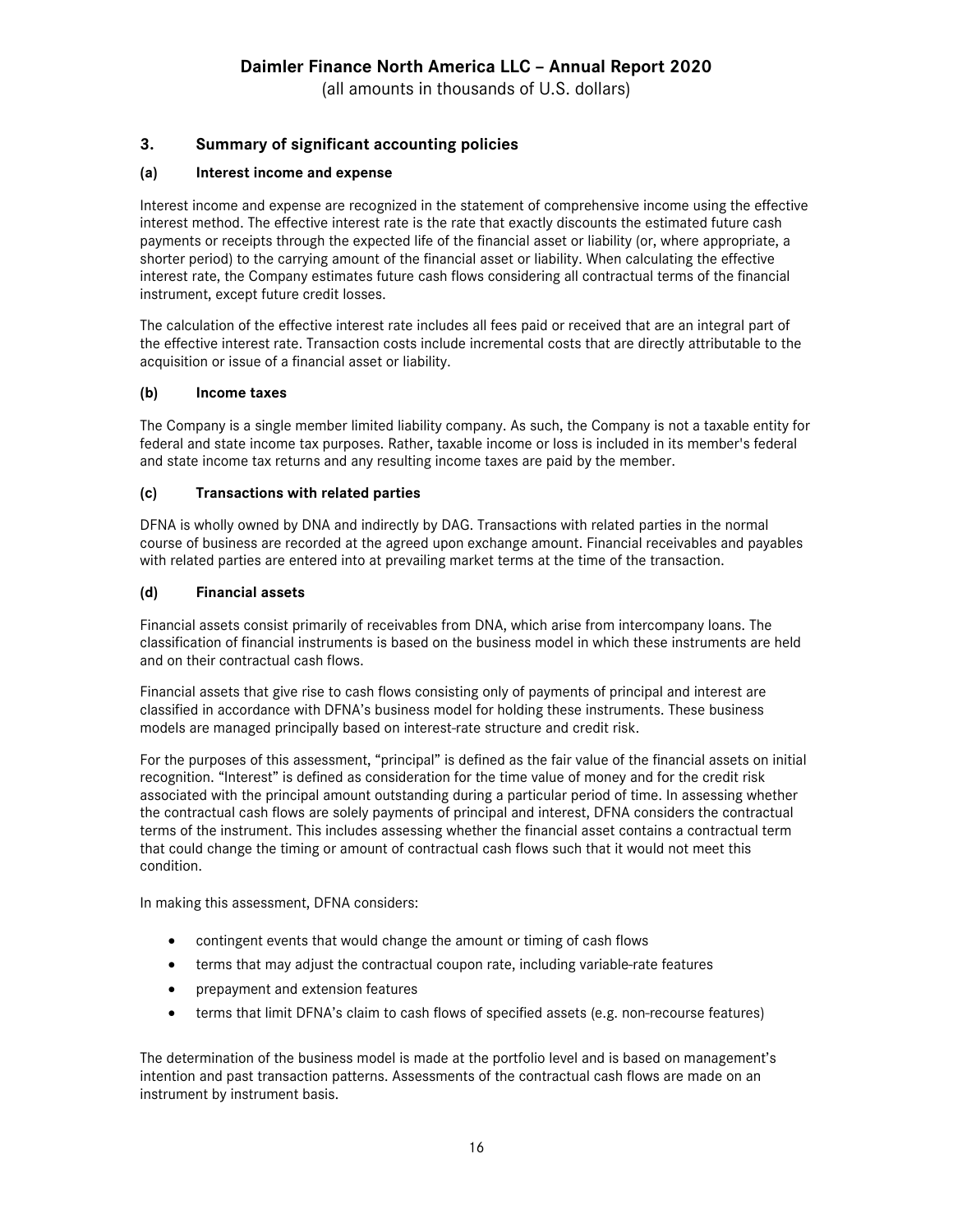(all amounts in thousands of U.S. dollars)

## **3. Summary of significant accounting policies**

#### **(a) Interest income and expense**

Interest income and expense are recognized in the statement of comprehensive income using the effective interest method. The effective interest rate is the rate that exactly discounts the estimated future cash payments or receipts through the expected life of the financial asset or liability (or, where appropriate, a shorter period) to the carrying amount of the financial asset or liability. When calculating the effective interest rate, the Company estimates future cash flows considering all contractual terms of the financial instrument, except future credit losses.

The calculation of the effective interest rate includes all fees paid or received that are an integral part of the effective interest rate. Transaction costs include incremental costs that are directly attributable to the acquisition or issue of a financial asset or liability.

#### **(b) Income taxes**

The Company is a single member limited liability company. As such, the Company is not a taxable entity for federal and state income tax purposes. Rather, taxable income or loss is included in its member's federal and state income tax returns and any resulting income taxes are paid by the member.

#### **(c) Transactions with related parties**

DFNA is wholly owned by DNA and indirectly by DAG. Transactions with related parties in the normal course of business are recorded at the agreed upon exchange amount. Financial receivables and payables with related parties are entered into at prevailing market terms at the time of the transaction.

#### **(d) Financial assets**

Financial assets consist primarily of receivables from DNA, which arise from intercompany loans. The classification of financial instruments is based on the business model in which these instruments are held and on their contractual cash flows.

Financial assets that give rise to cash flows consisting only of payments of principal and interest are classified in accordance with DFNA's business model for holding these instruments. These business models are managed principally based on interest-rate structure and credit risk.

For the purposes of this assessment, "principal" is defined as the fair value of the financial assets on initial recognition. "Interest" is defined as consideration for the time value of money and for the credit risk associated with the principal amount outstanding during a particular period of time. In assessing whether the contractual cash flows are solely payments of principal and interest, DFNA considers the contractual terms of the instrument. This includes assessing whether the financial asset contains a contractual term that could change the timing or amount of contractual cash flows such that it would not meet this condition.

In making this assessment, DFNA considers:

- contingent events that would change the amount or timing of cash flows
- terms that may adjust the contractual coupon rate, including variable-rate features
- prepayment and extension features
- terms that limit DFNA's claim to cash flows of specified assets (e.g. non-recourse features)

The determination of the business model is made at the portfolio level and is based on management's intention and past transaction patterns. Assessments of the contractual cash flows are made on an instrument by instrument basis.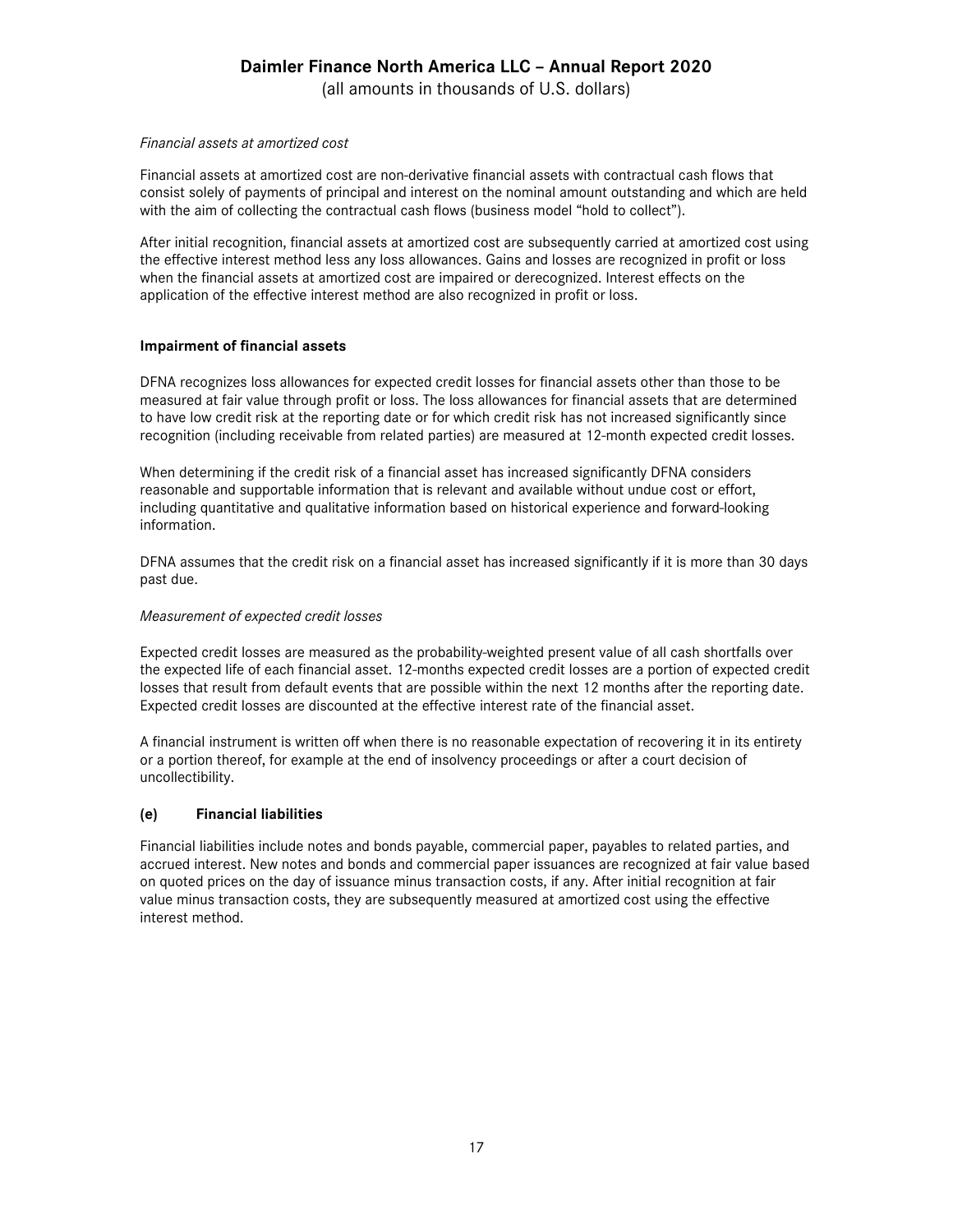(all amounts in thousands of U.S. dollars)

#### *Financial assets at amortized cost*

Financial assets at amortized cost are non-derivative financial assets with contractual cash flows that consist solely of payments of principal and interest on the nominal amount outstanding and which are held with the aim of collecting the contractual cash flows (business model "hold to collect").

After initial recognition, financial assets at amortized cost are subsequently carried at amortized cost using the effective interest method less any loss allowances. Gains and losses are recognized in profit or loss when the financial assets at amortized cost are impaired or derecognized. Interest effects on the application of the effective interest method are also recognized in profit or loss.

#### **Impairment of financial assets**

DFNA recognizes loss allowances for expected credit losses for financial assets other than those to be measured at fair value through profit or loss. The loss allowances for financial assets that are determined to have low credit risk at the reporting date or for which credit risk has not increased significantly since recognition (including receivable from related parties) are measured at 12-month expected credit losses.

When determining if the credit risk of a financial asset has increased significantly DFNA considers reasonable and supportable information that is relevant and available without undue cost or effort, including quantitative and qualitative information based on historical experience and forward-looking information.

DFNA assumes that the credit risk on a financial asset has increased significantly if it is more than 30 days past due.

#### *Measurement of expected credit losses*

Expected credit losses are measured as the probability-weighted present value of all cash shortfalls over the expected life of each financial asset. 12-months expected credit losses are a portion of expected credit losses that result from default events that are possible within the next 12 months after the reporting date. Expected credit losses are discounted at the effective interest rate of the financial asset.

A financial instrument is written off when there is no reasonable expectation of recovering it in its entirety or a portion thereof, for example at the end of insolvency proceedings or after a court decision of uncollectibility.

#### **(e) Financial liabilities**

Financial liabilities include notes and bonds payable, commercial paper, payables to related parties, and accrued interest. New notes and bonds and commercial paper issuances are recognized at fair value based on quoted prices on the day of issuance minus transaction costs, if any. After initial recognition at fair value minus transaction costs, they are subsequently measured at amortized cost using the effective interest method.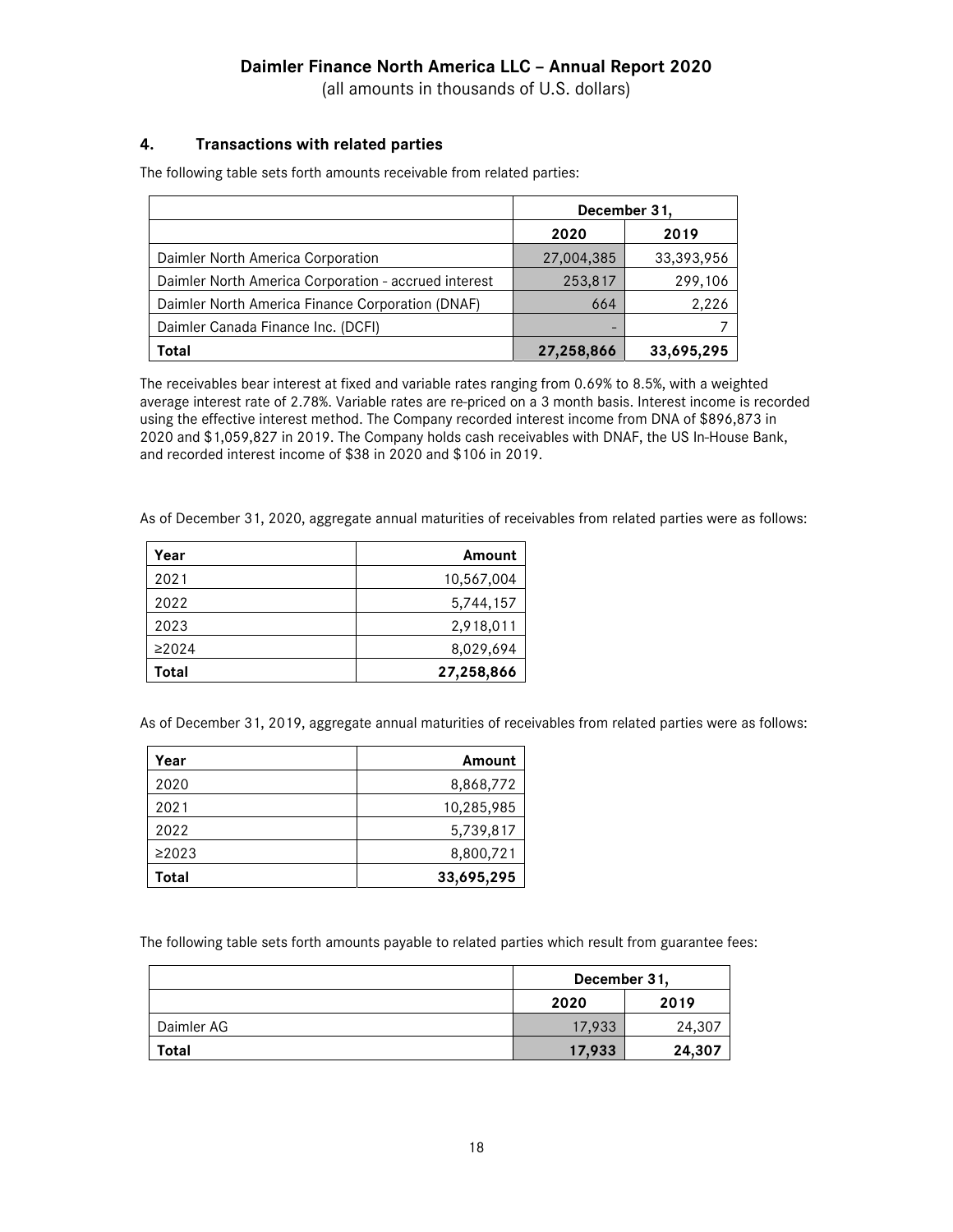(all amounts in thousands of U.S. dollars)

## **4. Transactions with related parties**

The following table sets forth amounts receivable from related parties:

|                                                      | December 31, |            |
|------------------------------------------------------|--------------|------------|
|                                                      | 2020         | 2019       |
| Daimler North America Corporation                    | 27,004,385   | 33,393,956 |
| Daimler North America Corporation - accrued interest | 253,817      | 299,106    |
| Daimler North America Finance Corporation (DNAF)     | 664          | 2,226      |
| Daimler Canada Finance Inc. (DCFI)                   |              |            |
| Total                                                | 27,258,866   | 33,695,295 |

The receivables bear interest at fixed and variable rates ranging from 0.69% to 8.5%, with a weighted average interest rate of 2.78%. Variable rates are re-priced on a 3 month basis. Interest income is recorded using the effective interest method. The Company recorded interest income from DNA of \$896,873 in 2020 and \$1,059,827 in 2019. The Company holds cash receivables with DNAF, the US In-House Bank, and recorded interest income of \$38 in 2020 and \$106 in 2019.

As of December 31, 2020, aggregate annual maturities of receivables from related parties were as follows:

| Year        | Amount     |
|-------------|------------|
| 2021        | 10,567,004 |
| 2022        | 5,744,157  |
| 2023        | 2,918,011  |
| $\geq$ 2024 | 8,029,694  |
| Total       | 27,258,866 |

As of December 31, 2019, aggregate annual maturities of receivables from related parties were as follows:

| Year        | Amount     |
|-------------|------------|
| 2020        | 8,868,772  |
| 2021        | 10,285,985 |
| 2022        | 5,739,817  |
| $\geq$ 2023 | 8,800,721  |
| Total       | 33,695,295 |

The following table sets forth amounts payable to related parties which result from guarantee fees:

|            | December 31  |        |
|------------|--------------|--------|
|            | 2020<br>2019 |        |
| Daimler AG | 17,933       | 24,307 |
| Total      | 17,933       | 24,307 |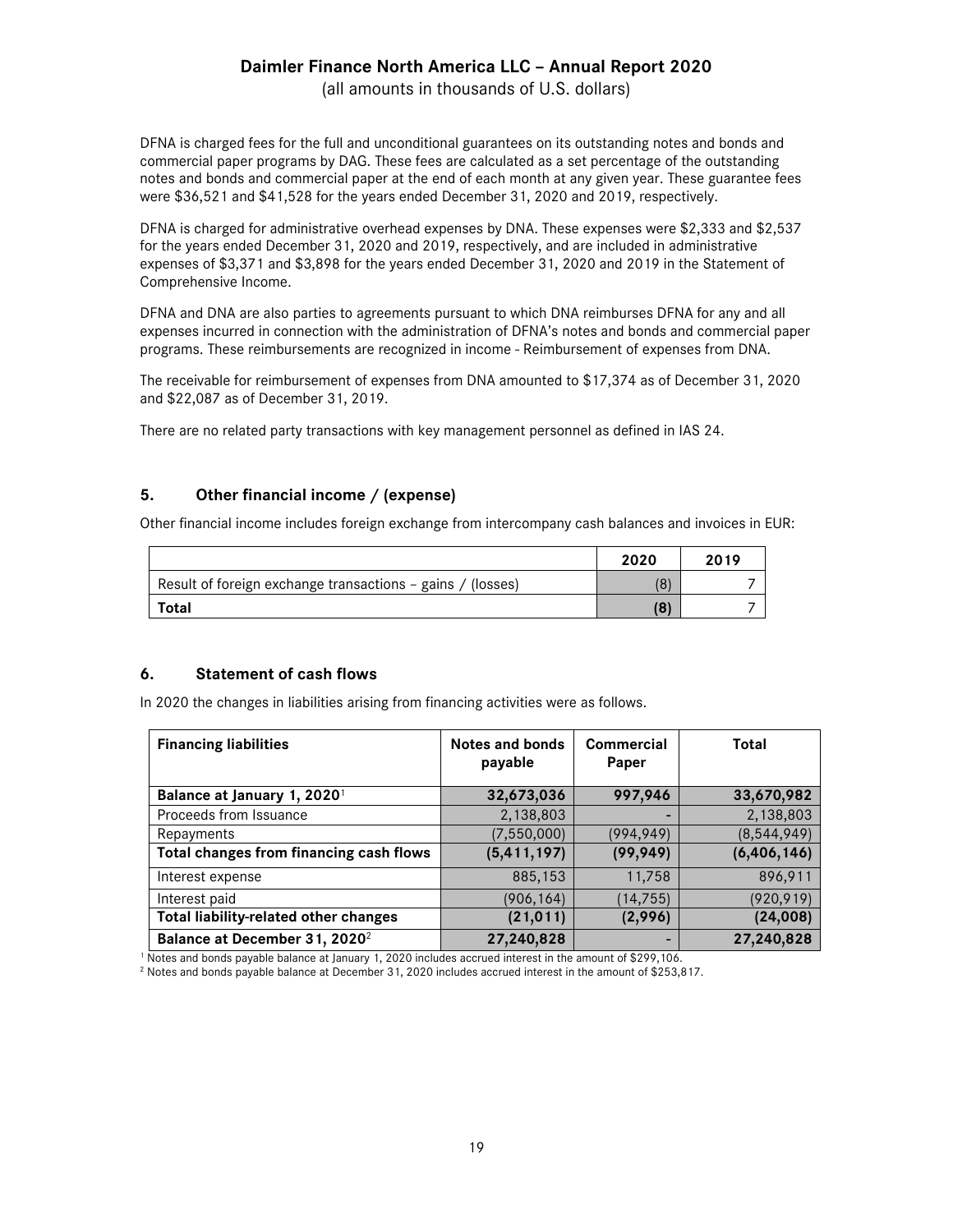(all amounts in thousands of U.S. dollars)

DFNA is charged fees for the full and unconditional guarantees on its outstanding notes and bonds and commercial paper programs by DAG. These fees are calculated as a set percentage of the outstanding notes and bonds and commercial paper at the end of each month at any given year. These guarantee fees were \$36,521 and \$41,528 for the years ended December 31, 2020 and 2019, respectively.

DFNA is charged for administrative overhead expenses by DNA. These expenses were \$2,333 and \$2,537 for the years ended December 31, 2020 and 2019, respectively, and are included in administrative expenses of \$3,371 and \$3,898 for the years ended December 31, 2020 and 2019 in the Statement of Comprehensive Income.

DFNA and DNA are also parties to agreements pursuant to which DNA reimburses DFNA for any and all expenses incurred in connection with the administration of DFNA's notes and bonds and commercial paper programs. These reimbursements are recognized in income - Reimbursement of expenses from DNA.

The receivable for reimbursement of expenses from DNA amounted to \$17,374 as of December 31, 2020 and \$22,087 as of December 31, 2019.

There are no related party transactions with key management personnel as defined in IAS 24.

## **5. Other financial income / (expense)**

Other financial income includes foreign exchange from intercompany cash balances and invoices in EUR:

|                                                            | 2020 | 2019 |
|------------------------------------------------------------|------|------|
| Result of foreign exchange transactions - gains / (losses) | ΄8   |      |
| Total                                                      | 18   |      |

#### **6. Statement of cash flows**

In 2020 the changes in liabilities arising from financing activities were as follows.

| <b>Financing liabilities</b>              | Notes and bonds<br>payable | Commercial<br>Paper | Total         |
|-------------------------------------------|----------------------------|---------------------|---------------|
| Balance at January 1, 2020 <sup>1</sup>   | 32,673,036                 | 997,946             | 33,670,982    |
| Proceeds from Issuance                    | 2,138,803                  |                     | 2,138,803     |
| Repayments                                | (7, 550, 000)              | (994,949)           | (8, 544, 949) |
| Total changes from financing cash flows   | (5, 411, 197)              | (99, 949)           | (6,406,146)   |
| Interest expense                          | 885,153                    | 11,758              | 896,911       |
| Interest paid                             | (906,164)                  | (14, 755)           | (920, 919)    |
| Total liability-related other changes     | (21, 011)                  | (2,996)             | (24,008)      |
| Balance at December 31, 2020 <sup>2</sup> | 27,240,828                 |                     | 27,240,828    |

1 Notes and bonds payable balance at January 1, 2020 includes accrued interest in the amount of \$299,106. 2 Notes and bonds payable balance at December 31, 2020 includes accrued interest in the amount of \$253,817.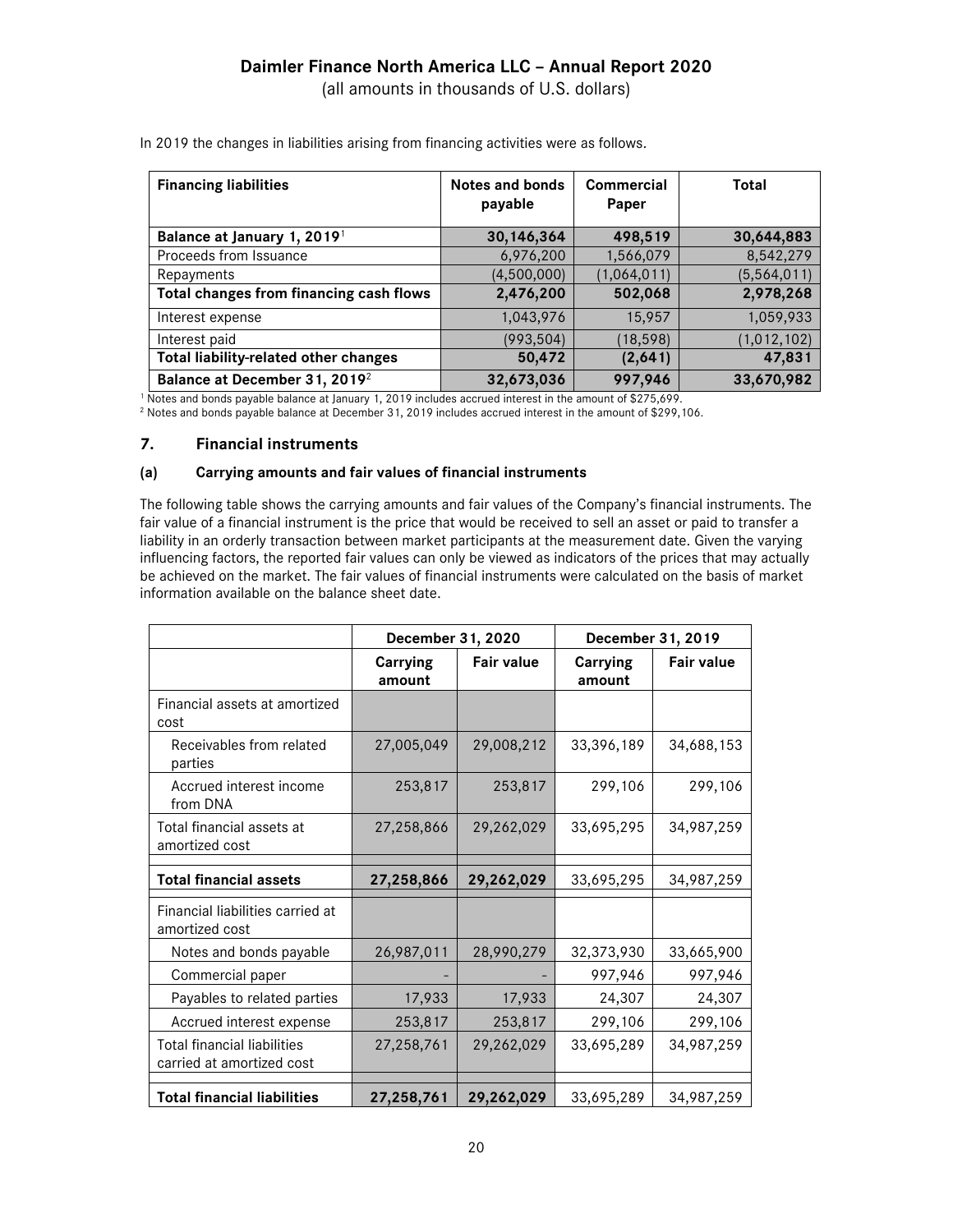(all amounts in thousands of U.S. dollars)

| <b>Financing liabilities</b>                 | Notes and bonds<br>payable | Commercial<br>Paper | <b>Total</b>  |
|----------------------------------------------|----------------------------|---------------------|---------------|
| Balance at January 1, 2019 <sup>1</sup>      | 30,146,364                 | 498,519             | 30,644,883    |
| Proceeds from Issuance                       | 6,976,200                  | 1,566,079           | 8,542,279     |
| Repayments                                   | (4,500,000)                | (1,064,011)         | (5, 564, 011) |
| Total changes from financing cash flows      | 2,476,200                  | 502,068             | 2,978,268     |
| Interest expense                             | 1,043,976                  | 15,957              | 1,059,933     |
| Interest paid                                | (993, 504)                 | 18,598              | (1, 012, 102) |
| <b>Total liability-related other changes</b> | 50,472                     | (2,641)             | 47,831        |
| Balance at December 31, 2019 <sup>2</sup>    | 32,673,036                 | 997,946             | 33,670,982    |

In 2019 the changes in liabilities arising from financing activities were as follows.

<sup>1</sup> Notes and bonds payable balance at January 1, 2019 includes accrued interest in the amount of \$275,699. 2 Notes and bonds payable balance at December 31, 2019 includes accrued interest in the amount of \$299,106.

#### **7. Financial instruments**

#### **(a) Carrying amounts and fair values of financial instruments**

The following table shows the carrying amounts and fair values of the Company's financial instruments. The fair value of a financial instrument is the price that would be received to sell an asset or paid to transfer a liability in an orderly transaction between market participants at the measurement date. Given the varying influencing factors, the reported fair values can only be viewed as indicators of the prices that may actually be achieved on the market. The fair values of financial instruments were calculated on the basis of market information available on the balance sheet date.

|                                                                 | December 31, 2020         |                   | December 31, 2019         |                   |  |
|-----------------------------------------------------------------|---------------------------|-------------------|---------------------------|-------------------|--|
|                                                                 | <b>Carrying</b><br>amount | <b>Fair value</b> | <b>Carrying</b><br>amount | <b>Fair value</b> |  |
| Financial assets at amortized<br>cost                           |                           |                   |                           |                   |  |
| Receivables from related<br>parties                             | 27,005,049                | 29,008,212        | 33,396,189                | 34,688,153        |  |
| Accrued interest income<br>from DNA                             | 253,817                   | 253,817           | 299,106                   | 299,106           |  |
| Total financial assets at<br>amortized cost                     | 27,258,866                | 29,262,029        | 33,695,295                | 34,987,259        |  |
| <b>Total financial assets</b>                                   | 27,258,866                | 29,262,029        | 33,695,295                | 34,987,259        |  |
| Financial liabilities carried at<br>amortized cost              |                           |                   |                           |                   |  |
| Notes and bonds payable                                         | 26,987,011                | 28,990,279        | 32,373,930                | 33,665,900        |  |
| Commercial paper                                                |                           |                   | 997,946                   | 997,946           |  |
| Payables to related parties                                     | 17,933                    | 17,933            | 24,307                    | 24,307            |  |
| Accrued interest expense                                        | 253,817                   | 253,817           | 299,106                   | 299,106           |  |
| <b>Total financial liabilities</b><br>carried at amortized cost | 27,258,761                | 29,262,029        | 33,695,289                | 34,987,259        |  |
| <b>Total financial liabilities</b>                              | 27,258,761                | 29,262,029        | 33,695,289                | 34,987,259        |  |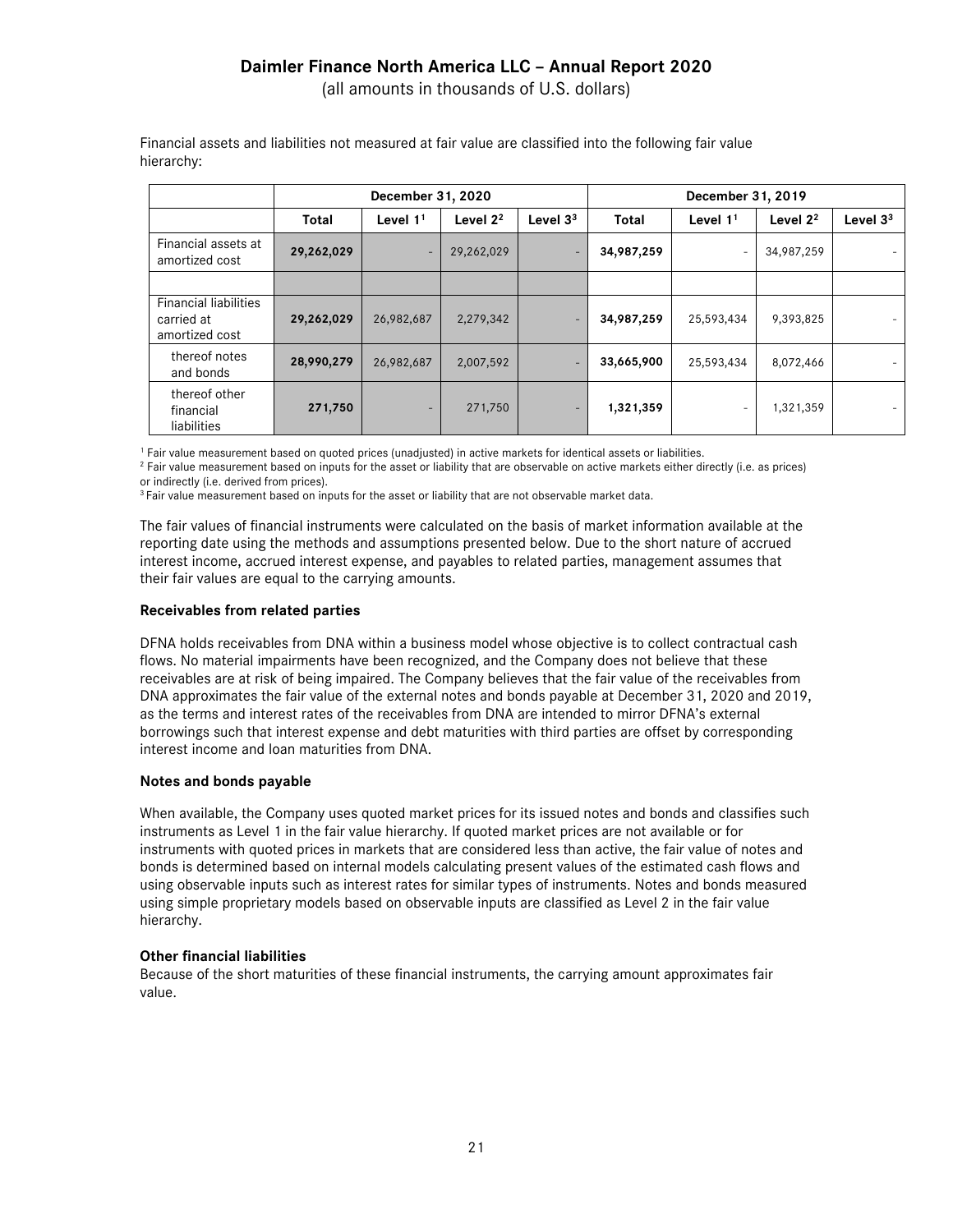(all amounts in thousands of U.S. dollars)

|                                                              | December 31, 2020 |                          |                      |                          | December 31, 2019 |            |                      |            |
|--------------------------------------------------------------|-------------------|--------------------------|----------------------|--------------------------|-------------------|------------|----------------------|------------|
|                                                              | <b>Total</b>      | Level $11$               | Level 2 <sup>2</sup> | Level $33$               | <b>Total</b>      | Level $11$ | Level 2 <sup>2</sup> | Level $33$ |
| Financial assets at<br>amortized cost                        | 29,262,029        | $\overline{\phantom{a}}$ | 29,262,029           | $\overline{\phantom{a}}$ | 34,987,259        | Ξ.         | 34,987,259           |            |
|                                                              |                   |                          |                      |                          |                   |            |                      |            |
| <b>Financial liabilities</b><br>carried at<br>amortized cost | 29,262,029        | 26,982,687               | 2,279,342            | $\overline{\phantom{a}}$ | 34,987,259        | 25,593,434 | 9,393,825            |            |
| thereof notes<br>and bonds                                   | 28,990,279        | 26,982,687               | 2,007,592            | $\overline{\phantom{0}}$ | 33,665,900        | 25,593,434 | 8,072,466            |            |
| thereof other<br>financial<br>liabilities                    | 271,750           | ۰.                       | 271,750              |                          | 1,321,359         | -          | 1,321,359            |            |

Financial assets and liabilities not measured at fair value are classified into the following fair value hierarchy:

<sup>1</sup> Fair value measurement based on quoted prices (unadjusted) in active markets for identical assets or liabilities.<br><sup>2</sup> Fair value measurement based on inputs for the asset or liability that are observable on active mark or indirectly (i.e. derived from prices).

<sup>3</sup> Fair value measurement based on inputs for the asset or liability that are not observable market data.

The fair values of financial instruments were calculated on the basis of market information available at the reporting date using the methods and assumptions presented below. Due to the short nature of accrued interest income, accrued interest expense, and payables to related parties, management assumes that their fair values are equal to the carrying amounts.

#### **Receivables from related parties**

DFNA holds receivables from DNA within a business model whose objective is to collect contractual cash flows. No material impairments have been recognized, and the Company does not believe that these receivables are at risk of being impaired. The Company believes that the fair value of the receivables from DNA approximates the fair value of the external notes and bonds payable at December 31, 2020 and 2019, as the terms and interest rates of the receivables from DNA are intended to mirror DFNA's external borrowings such that interest expense and debt maturities with third parties are offset by corresponding interest income and loan maturities from DNA.

#### **Notes and bonds payable**

When available, the Company uses quoted market prices for its issued notes and bonds and classifies such instruments as Level 1 in the fair value hierarchy. If quoted market prices are not available or for instruments with quoted prices in markets that are considered less than active, the fair value of notes and bonds is determined based on internal models calculating present values of the estimated cash flows and using observable inputs such as interest rates for similar types of instruments. Notes and bonds measured using simple proprietary models based on observable inputs are classified as Level 2 in the fair value hierarchy.

#### **Other financial liabilities**

Because of the short maturities of these financial instruments, the carrying amount approximates fair value.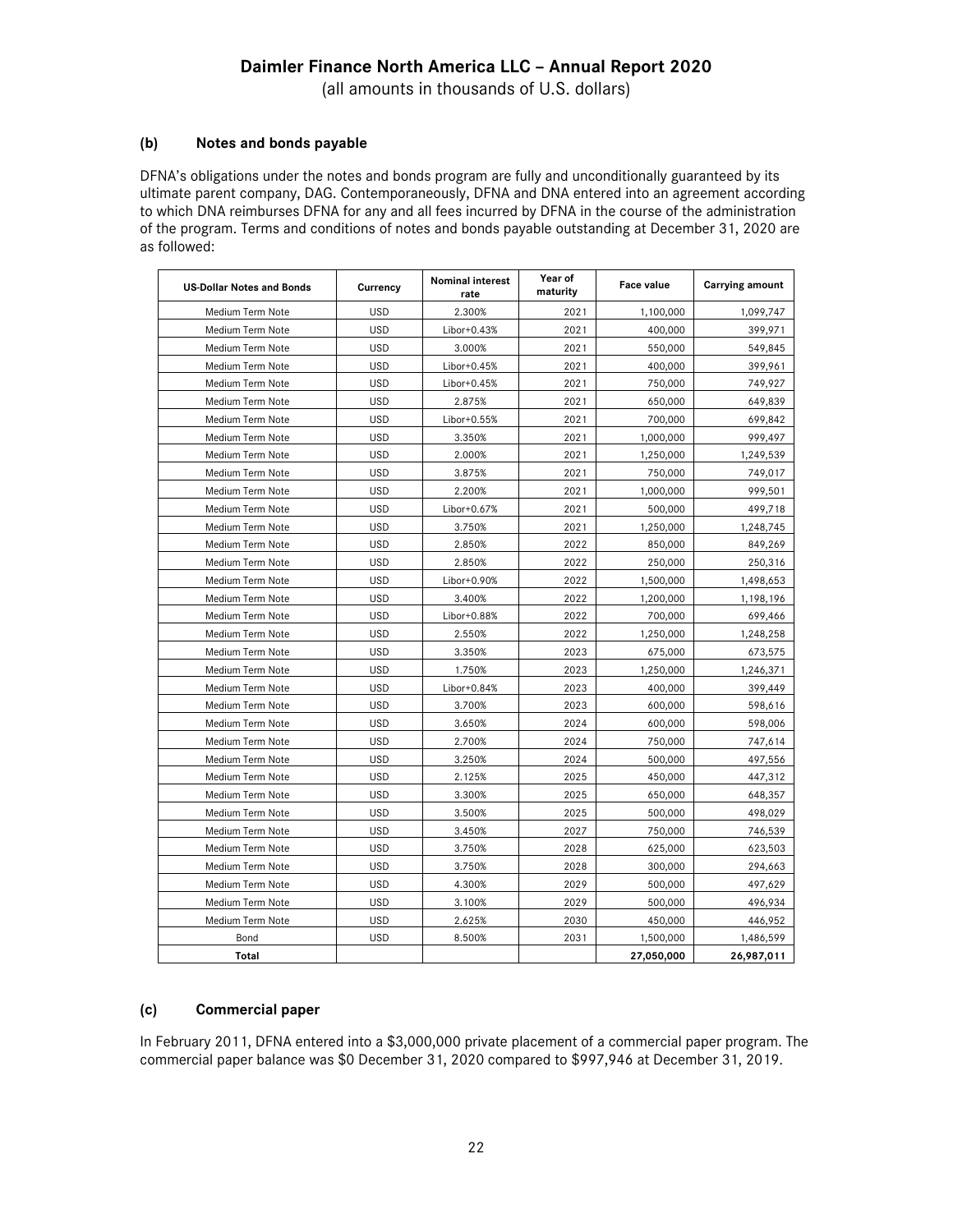(all amounts in thousands of U.S. dollars)

#### **(b) Notes and bonds payable**

DFNA's obligations under the notes and bonds program are fully and unconditionally guaranteed by its ultimate parent company, DAG. Contemporaneously, DFNA and DNA entered into an agreement according to which DNA reimburses DFNA for any and all fees incurred by DFNA in the course of the administration of the program. Terms and conditions of notes and bonds payable outstanding at December 31, 2020 are as followed:

| <b>US-Dollar Notes and Bonds</b> | Currency   | <b>Nominal interest</b><br>rate | Year of<br>maturity | Face value | Carrying amount |
|----------------------------------|------------|---------------------------------|---------------------|------------|-----------------|
| Medium Term Note                 | <b>USD</b> | 2.300%                          | 2021                | 1,100,000  | 1,099,747       |
| Medium Term Note                 | <b>USD</b> | Libor+0.43%                     | 2021                | 400,000    | 399,971         |
| Medium Term Note                 | <b>USD</b> | 3.000%                          | 2021                | 550,000    | 549,845         |
| Medium Term Note                 | <b>USD</b> | Libor+0.45%                     | 2021                | 400,000    | 399,961         |
| Medium Term Note                 | <b>USD</b> | Libor+0.45%                     | 2021                | 750,000    | 749,927         |
| Medium Term Note                 | <b>USD</b> | 2.875%                          | 2021                | 650,000    | 649,839         |
| Medium Term Note                 | <b>USD</b> | Libor+0.55%                     | 2021                | 700,000    | 699,842         |
| Medium Term Note                 | <b>USD</b> | 3.350%                          | 2021                | 1,000,000  | 999,497         |
| Medium Term Note                 | <b>USD</b> | 2.000%                          | 2021                | 1,250,000  | 1,249,539       |
| Medium Term Note                 | <b>USD</b> | 3.875%                          | 2021                | 750,000    | 749,017         |
| Medium Term Note                 | <b>USD</b> | 2.200%                          | 2021                | 1,000,000  | 999,501         |
| Medium Term Note                 | <b>USD</b> | Libor+0.67%                     | 2021                | 500,000    | 499,718         |
| Medium Term Note                 | <b>USD</b> | 3.750%                          | 2021                | 1,250,000  | 1,248,745       |
| Medium Term Note                 | <b>USD</b> | 2.850%                          | 2022                | 850,000    | 849,269         |
| Medium Term Note                 | <b>USD</b> | 2.850%                          | 2022                | 250,000    | 250,316         |
| Medium Term Note                 | <b>USD</b> | Libor+0.90%                     | 2022                | 1,500,000  | 1,498,653       |
| Medium Term Note                 | <b>USD</b> | 3.400%                          | 2022                | 1,200,000  | 1,198,196       |
| Medium Term Note                 | <b>USD</b> | Libor+0.88%                     | 2022                | 700,000    | 699,466         |
| Medium Term Note                 | <b>USD</b> | 2.550%                          | 2022                | 1,250,000  | 1,248,258       |
| Medium Term Note                 | <b>USD</b> | 3.350%                          | 2023                | 675,000    | 673,575         |
| Medium Term Note                 | <b>USD</b> | 1.750%                          | 2023                | 1,250,000  | 1,246,371       |
| Medium Term Note                 | <b>USD</b> | Libor+0.84%                     | 2023                | 400,000    | 399,449         |
| Medium Term Note                 | <b>USD</b> | 3.700%                          | 2023                | 600,000    | 598,616         |
| Medium Term Note                 | <b>USD</b> | 3.650%                          | 2024                | 600,000    | 598,006         |
| Medium Term Note                 | <b>USD</b> | 2.700%                          | 2024                | 750,000    | 747,614         |
| Medium Term Note                 | <b>USD</b> | 3.250%                          | 2024                | 500,000    | 497,556         |
| Medium Term Note                 | <b>USD</b> | 2.125%                          | 2025                | 450,000    | 447,312         |
| Medium Term Note                 | <b>USD</b> | 3.300%                          | 2025                | 650,000    | 648,357         |
| Medium Term Note                 | <b>USD</b> | 3.500%                          | 2025                | 500,000    | 498,029         |
| Medium Term Note                 | <b>USD</b> | 3.450%                          | 2027                | 750,000    | 746,539         |
| Medium Term Note                 | <b>USD</b> | 3.750%                          | 2028                | 625,000    | 623,503         |
| Medium Term Note                 | <b>USD</b> | 3.750%                          | 2028                | 300,000    | 294,663         |
| Medium Term Note                 | <b>USD</b> | 4.300%                          | 2029                | 500,000    | 497,629         |
| Medium Term Note                 | <b>USD</b> | 3.100%                          | 2029                | 500,000    | 496,934         |
| Medium Term Note                 | <b>USD</b> | 2.625%                          | 2030                | 450,000    | 446,952         |
| Bond                             | <b>USD</b> | 8.500%                          | 2031                | 1,500,000  | 1,486,599       |
| Total                            |            |                                 |                     | 27,050,000 | 26,987,011      |

#### **(c) Commercial paper**

In February 2011, DFNA entered into a \$3,000,000 private placement of a commercial paper program. The commercial paper balance was \$0 December 31, 2020 compared to \$997,946 at December 31, 2019.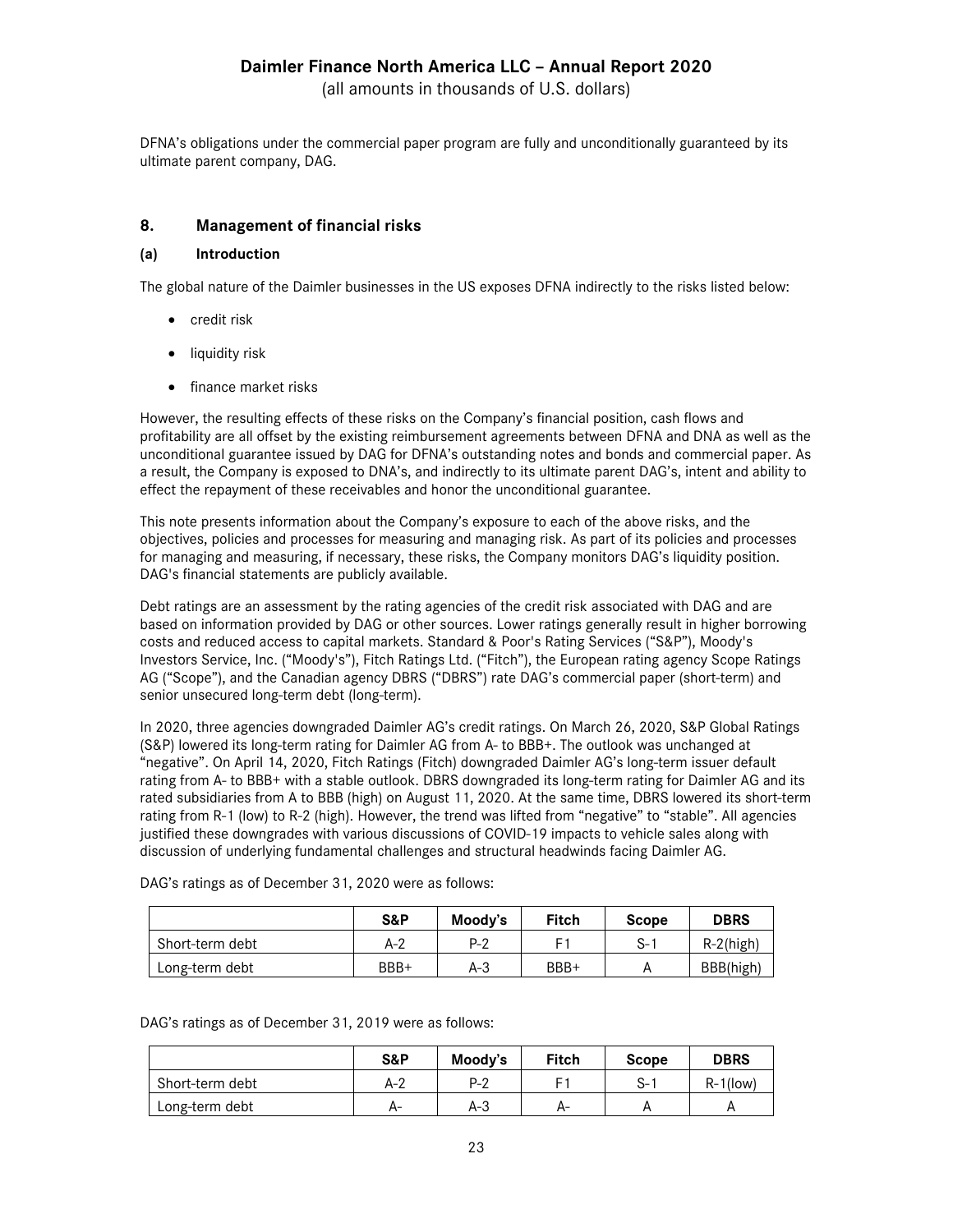(all amounts in thousands of U.S. dollars)

DFNA's obligations under the commercial paper program are fully and unconditionally guaranteed by its ultimate parent company, DAG.

### **8. Management of financial risks**

#### **(a) Introduction**

The global nature of the Daimler businesses in the US exposes DFNA indirectly to the risks listed below:

- credit risk
- liquidity risk
- finance market risks

However, the resulting effects of these risks on the Company's financial position, cash flows and profitability are all offset by the existing reimbursement agreements between DFNA and DNA as well as the unconditional guarantee issued by DAG for DFNA's outstanding notes and bonds and commercial paper. As a result, the Company is exposed to DNA's, and indirectly to its ultimate parent DAG's, intent and ability to effect the repayment of these receivables and honor the unconditional guarantee.

This note presents information about the Company's exposure to each of the above risks, and the objectives, policies and processes for measuring and managing risk. As part of its policies and processes for managing and measuring, if necessary, these risks, the Company monitors DAG's liquidity position. DAG's financial statements are publicly available.

Debt ratings are an assessment by the rating agencies of the credit risk associated with DAG and are based on information provided by DAG or other sources. Lower ratings generally result in higher borrowing costs and reduced access to capital markets. Standard & Poor's Rating Services ("S&P"), Moody's Investors Service, Inc. ("Moody's"), Fitch Ratings Ltd. ("Fitch"), the European rating agency Scope Ratings AG ("Scope"), and the Canadian agency DBRS ("DBRS") rate DAG's commercial paper (short-term) and senior unsecured long-term debt (long-term).

In 2020, three agencies downgraded Daimler AG's credit ratings. On March 26, 2020, S&P Global Ratings (S&P) lowered its long-term rating for Daimler AG from A- to BBB+. The outlook was unchanged at "negative". On April 14, 2020, Fitch Ratings (Fitch) downgraded Daimler AG's long-term issuer default rating from A- to BBB+ with a stable outlook. DBRS downgraded its long-term rating for Daimler AG and its rated subsidiaries from A to BBB (high) on August 11, 2020. At the same time, DBRS lowered its short-term rating from R-1 (low) to R-2 (high). However, the trend was lifted from "negative" to "stable". All agencies justified these downgrades with various discussions of COVID-19 impacts to vehicle sales along with discussion of underlying fundamental challenges and structural headwinds facing Daimler AG.

|                 | S&P   | Moody's | Fitch | <b>Scope</b> | <b>DBRS</b>  |
|-----------------|-------|---------|-------|--------------|--------------|
| Short-term debt | $A-2$ | P-2     | Е 1   | S-1          | $R-2$ (high) |
| Long-term debt  | BBB+  | $A-3$   | BBB+  |              | BBB(high)    |

DAG's ratings as of December 31, 2020 were as follows:

DAG's ratings as of December 31, 2019 were as follows:

|                 | S&P | Moody's | <b>Fitch</b> | <b>Scope</b> | <b>DBRS</b> |
|-----------------|-----|---------|--------------|--------------|-------------|
| Short-term debt | A-2 | P-2     |              | S-1          | $R-1$ (low) |
| Long-term debt  | A-  | $A-3$   | A-           |              |             |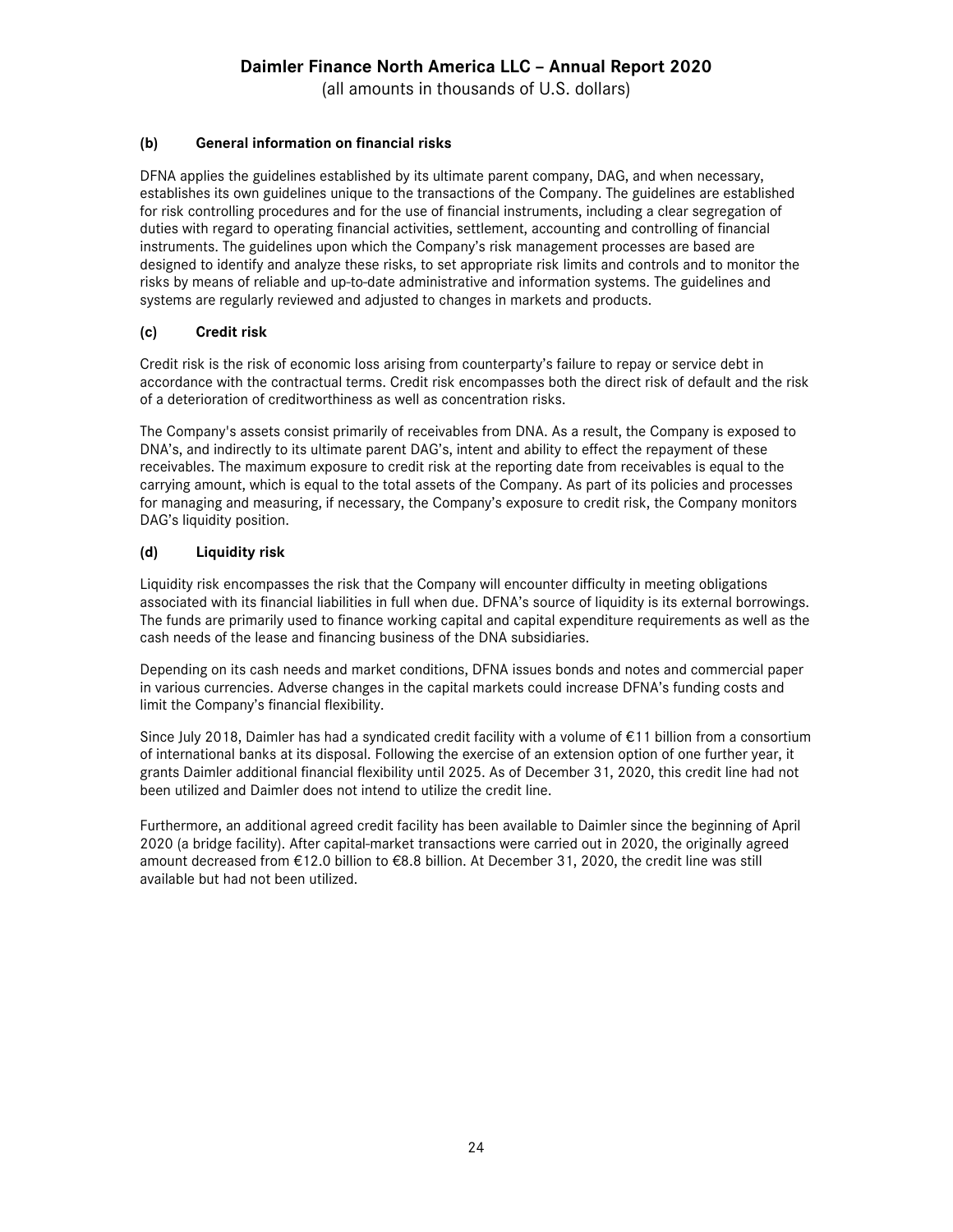(all amounts in thousands of U.S. dollars)

## **(b) General information on financial risks**

DFNA applies the guidelines established by its ultimate parent company, DAG, and when necessary, establishes its own guidelines unique to the transactions of the Company. The guidelines are established for risk controlling procedures and for the use of financial instruments, including a clear segregation of duties with regard to operating financial activities, settlement, accounting and controlling of financial instruments. The guidelines upon which the Company's risk management processes are based are designed to identify and analyze these risks, to set appropriate risk limits and controls and to monitor the risks by means of reliable and up-to-date administrative and information systems. The guidelines and systems are regularly reviewed and adjusted to changes in markets and products.

## **(c) Credit risk**

Credit risk is the risk of economic loss arising from counterparty's failure to repay or service debt in accordance with the contractual terms. Credit risk encompasses both the direct risk of default and the risk of a deterioration of creditworthiness as well as concentration risks.

The Company's assets consist primarily of receivables from DNA. As a result, the Company is exposed to DNA's, and indirectly to its ultimate parent DAG's, intent and ability to effect the repayment of these receivables. The maximum exposure to credit risk at the reporting date from receivables is equal to the carrying amount, which is equal to the total assets of the Company. As part of its policies and processes for managing and measuring, if necessary, the Company's exposure to credit risk, the Company monitors DAG's liquidity position.

## **(d) Liquidity risk**

Liquidity risk encompasses the risk that the Company will encounter difficulty in meeting obligations associated with its financial liabilities in full when due. DFNA's source of liquidity is its external borrowings. The funds are primarily used to finance working capital and capital expenditure requirements as well as the cash needs of the lease and financing business of the DNA subsidiaries.

Depending on its cash needs and market conditions, DFNA issues bonds and notes and commercial paper in various currencies. Adverse changes in the capital markets could increase DFNA's funding costs and limit the Company's financial flexibility.

Since July 2018, Daimler has had a syndicated credit facility with a volume of €11 billion from a consortium of international banks at its disposal. Following the exercise of an extension option of one further year, it grants Daimler additional financial flexibility until 2025. As of December 31, 2020, this credit line had not been utilized and Daimler does not intend to utilize the credit line.

Furthermore, an additional agreed credit facility has been available to Daimler since the beginning of April 2020 (a bridge facility). After capital-market transactions were carried out in 2020, the originally agreed amount decreased from €12.0 billion to €8.8 billion. At December 31, 2020, the credit line was still available but had not been utilized.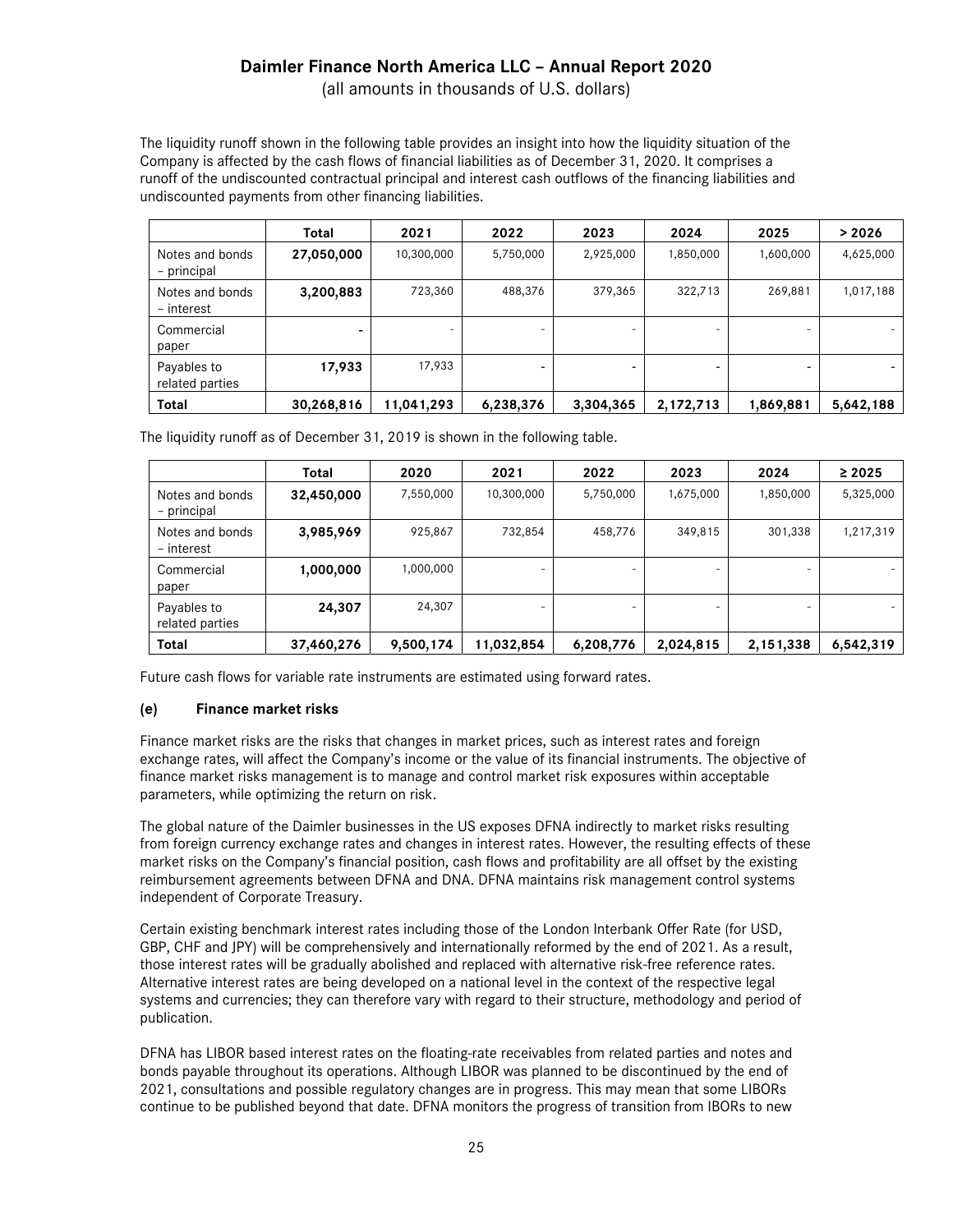(all amounts in thousands of U.S. dollars)

The liquidity runoff shown in the following table provides an insight into how the liquidity situation of the Company is affected by the cash flows of financial liabilities as of December 31, 2020. It comprises a runoff of the undiscounted contractual principal and interest cash outflows of the financing liabilities and undiscounted payments from other financing liabilities.

|                                | <b>Total</b> | 2021       | 2022      | 2023                     | 2024      | 2025      | > 2026    |
|--------------------------------|--------------|------------|-----------|--------------------------|-----------|-----------|-----------|
| Notes and bonds<br>- principal | 27,050,000   | 10,300,000 | 5,750,000 | 2,925,000                | 1,850,000 | 1,600,000 | 4,625,000 |
| Notes and bonds<br>- interest  | 3,200,883    | 723,360    | 488,376   | 379,365                  | 322,713   | 269,881   | 1,017,188 |
| Commercial<br>paper            |              | ۰          |           | $\overline{\phantom{0}}$ |           |           |           |
| Payables to<br>related parties | 17,933       | 17,933     | -         | $\overline{\phantom{0}}$ |           |           |           |
| <b>Total</b>                   | 30,268,816   | 11,041,293 | 6,238,376 | 3,304,365                | 2,172,713 | 1,869,881 | 5,642,188 |

The liquidity runoff as of December 31, 2019 is shown in the following table.

|                                | Total      | 2020      | 2021       | 2022      | 2023      | 2024      | $\geq 2025$ |
|--------------------------------|------------|-----------|------------|-----------|-----------|-----------|-------------|
| Notes and bonds<br>- principal | 32,450,000 | 7,550,000 | 10,300,000 | 5,750,000 | 1,675,000 | 1,850,000 | 5,325,000   |
| Notes and bonds<br>- interest  | 3,985,969  | 925,867   | 732,854    | 458,776   | 349,815   | 301,338   | 1,217,319   |
| Commercial<br>paper            | 1,000,000  | 1,000,000 |            | -         |           |           |             |
| Payables to<br>related parties | 24,307     | 24,307    |            |           |           |           |             |
| <b>Total</b>                   | 37,460,276 | 9,500,174 | 11,032,854 | 6,208,776 | 2,024,815 | 2,151,338 | 6,542,319   |

Future cash flows for variable rate instruments are estimated using forward rates.

#### **(e) Finance market risks**

Finance market risks are the risks that changes in market prices, such as interest rates and foreign exchange rates, will affect the Company's income or the value of its financial instruments. The objective of finance market risks management is to manage and control market risk exposures within acceptable parameters, while optimizing the return on risk.

The global nature of the Daimler businesses in the US exposes DFNA indirectly to market risks resulting from foreign currency exchange rates and changes in interest rates. However, the resulting effects of these market risks on the Company's financial position, cash flows and profitability are all offset by the existing reimbursement agreements between DFNA and DNA. DFNA maintains risk management control systems independent of Corporate Treasury.

Certain existing benchmark interest rates including those of the London Interbank Offer Rate (for USD, GBP, CHF and JPY) will be comprehensively and internationally reformed by the end of 2021. As a result, those interest rates will be gradually abolished and replaced with alternative risk-free reference rates. Alternative interest rates are being developed on a national level in the context of the respective legal systems and currencies; they can therefore vary with regard to their structure, methodology and period of publication.

DFNA has LIBOR based interest rates on the floating-rate receivables from related parties and notes and bonds payable throughout its operations. Although LIBOR was planned to be discontinued by the end of 2021, consultations and possible regulatory changes are in progress. This may mean that some LIBORs continue to be published beyond that date. DFNA monitors the progress of transition from IBORs to new